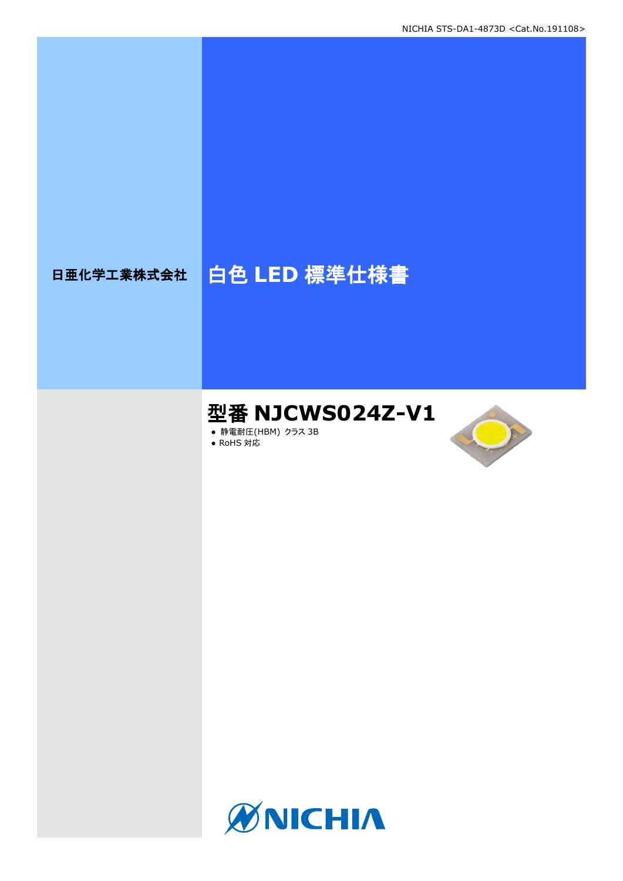# 日亜化学工業株式会社 | 白色 LED 標準仕様書

# 型番 **NJCWS024Z-V1**

- **静電耐圧(HBM) クラス 3B**
- RoHS 対応



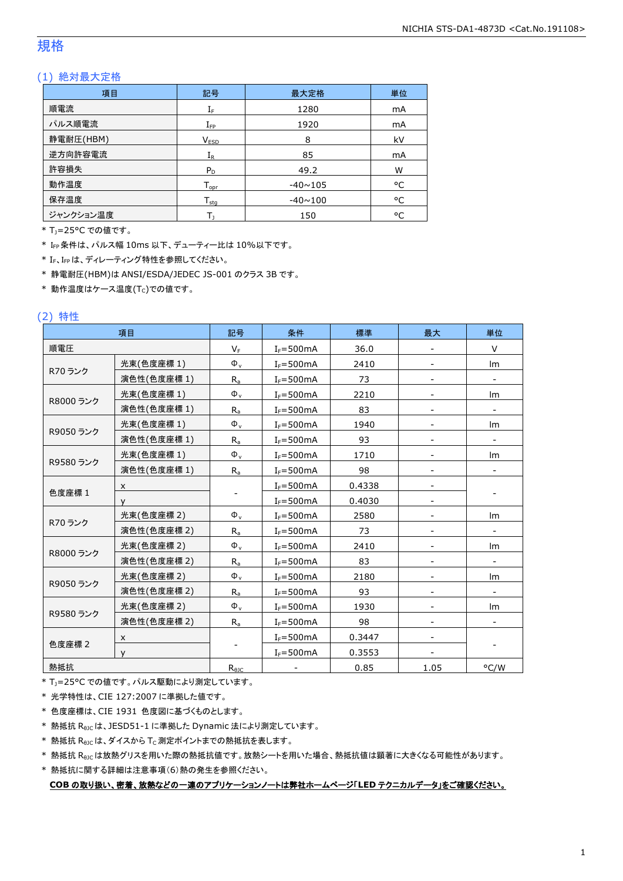#### 規格

#### (1) 絶対最大定格

| 項目        | 記号                  | 最大定格           | 単位 |
|-----------|---------------------|----------------|----|
| 順電流       | ${\rm I}_{{\rm F}}$ | 1280           | mA |
| パルス順電流    | $I_{\mathsf{FP}}$   | 1920           | mA |
| 静電耐圧(HBM) | V <sub>ESD</sub>    | 8              | kV |
| 逆方向許容電流   | $\rm I_R$           | 85             | mA |
| 許容損失      | $P_D$               | 49.2           | W  |
| 動作温度      | $T_{\mathsf{opr}}$  | $-40 \sim 105$ | °C |
| 保存温度      | $T_{\text{stq}}$    | $-40 \sim 100$ | °C |
| ジャンクション温度 |                     | 150            | ۰c |

\* TJ=25°C での値です。

\* IFP条件は、パルス幅 10ms 以下、デューティー比は 10%以下です。

\* IF、IFpは、ディレーティング特性を参照してください。

\* 静電耐圧(HBM)は ANSI/ESDA/JEDEC JS-001 のクラス 3B です。

 $*$ 動作温度はケース温度(Tc)での値です。

#### (2) 特性

|             | 項目          | 記号             | 条件            | 標準     | 最大   | 単位                       |
|-------------|-------------|----------------|---------------|--------|------|--------------------------|
| 順電圧         |             | $V_F$          | $I_F = 500mA$ | 36.0   |      | V                        |
|             | 光束(色度座標 1)  | $\Phi_{v}$     | $I_F = 500mA$ | 2410   |      | Im                       |
| R70 ランク     | 演色性(色度座標1)  | $R_{a}$        | $I_F = 500mA$ | 73     |      |                          |
|             | 光束(色度座標1)   | $\Phi_{\rm v}$ | $I_F = 500mA$ | 2210   |      | Im                       |
| R8000 ランク   | 演色性(色度座標 1) | $R_{a}$        | $I_F = 500mA$ | 83     |      | $\overline{\phantom{a}}$ |
|             | 光束(色度座標1)   | $\Phi_{\rm v}$ | $I_F = 500mA$ | 1940   |      | Im                       |
| R9050 ランク   | 演色性(色度座標 1) | $R_{a}$        | $I_F = 500mA$ | 93     |      |                          |
|             | 光束(色度座標1)   | $\Phi_{\rm v}$ | $I_F = 500mA$ | 1710   |      | Im                       |
| R9580 ランク   | 演色性(色度座標 1) | $R_{a}$        | $I_F = 500mA$ | 98     |      |                          |
|             | X           |                | $I_F = 500mA$ | 0.4338 |      |                          |
| 色度座標 1<br>v |             |                | $I_F = 500mA$ | 0.4030 |      |                          |
|             | 光束(色度座標 2)  | $\Phi_{\rm v}$ | $I_F = 500mA$ | 2580   |      | Im                       |
| R70 ランク     | 演色性(色度座標 2) | $R_{a}$        | $I_F = 500mA$ | 73     |      | $\overline{\phantom{a}}$ |
|             | 光束(色度座標 2)  | $\Phi_{\rm v}$ | $I_F = 500mA$ | 2410   |      | Im                       |
| R8000 ランク   | 演色性(色度座標 2) | $R_{a}$        | $I_F = 500mA$ | 83     |      |                          |
|             | 光束(色度座標 2)  | $\Phi_{\rm v}$ | $I_F = 500mA$ | 2180   |      | lm                       |
| R9050 ランク   | 演色性(色度座標 2) | $R_{a}$        | $I_F = 500mA$ | 93     |      |                          |
|             | 光束(色度座標 2)  | $\Phi_{\rm v}$ | $I_F = 500mA$ | 1930   |      | Im                       |
| R9580 ランク   | 演色性(色度座標 2) | $R_{a}$        | $I_F = 500mA$ | 98     |      |                          |
|             | x           |                | $I_F = 500mA$ | 0.3447 |      |                          |
| 色度座標 2      | v           |                | $I_F = 500mA$ | 0.3553 |      |                          |
| 熱抵抗         |             | $R_{\theta$ JC |               | 0.85   | 1.05 | °C/W                     |

\* T<sub>J</sub>=25°C での値です。パルス駆動により測定しています。

\* 光学特性は、CIE 127:2007 に準拠した値です。

\* 色度座標は、CIE 1931 色度図に基づくものとします。

\* 熱抵抗 RθJCは、JESD51-1 に準拠した Dynamic 法により測定しています。

 $*$  熱抵抗  $R_{\theta$ JC は、ダイスから Tc 測定ポイントまでの熱抵抗を表します。

\* 熱抵抗 R<sub>0JC</sub>は放熱グリスを用いた際の熱抵抗値です。放熱シートを用いた場合、熱抵抗値は顕著に大きくなる可能性があります。

\* 熱抵抗に関する詳細は注意事項(6)熱の発生を参照ください。

**COB** の取り扱い、密着、放熱などの一連のアプリケーションノートは弊社ホームページ「**LED** テクニカルデータ」をご確認ください。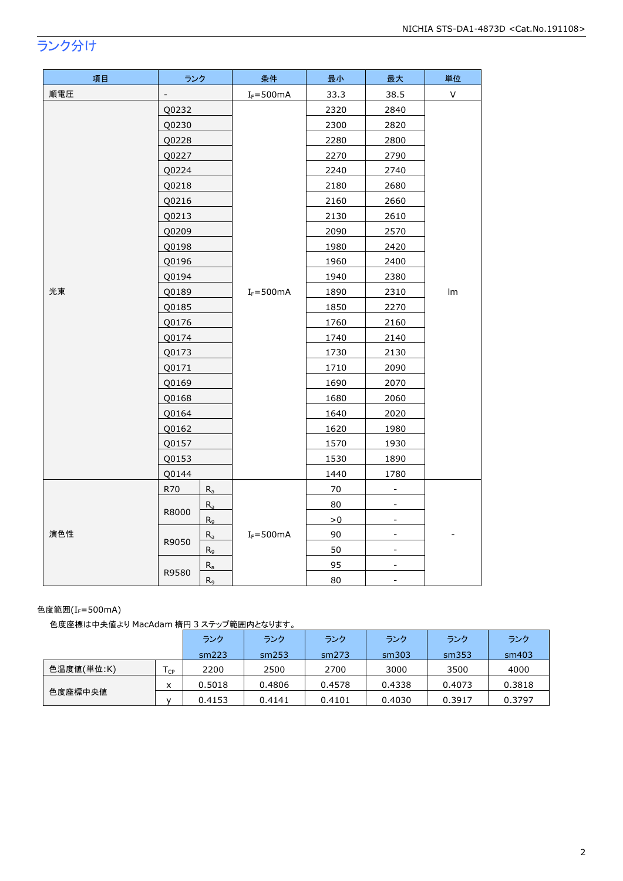## ランク分け

| 項目  | ランク            |         | 条件            | 最小     | 最大                       | 単位 |
|-----|----------------|---------|---------------|--------|--------------------------|----|
| 順電圧 | $\overline{a}$ |         | $I_F = 500mA$ | 33.3   | 38.5                     | V  |
|     | Q0232          |         |               | 2320   | 2840                     |    |
|     | Q0230          |         |               | 2300   | 2820                     |    |
|     | Q0228          |         |               | 2280   | 2800                     |    |
|     | Q0227          |         |               | 2270   | 2790                     |    |
|     | Q0224          |         |               | 2240   | 2740                     |    |
|     | Q0218          |         |               | 2180   | 2680                     |    |
|     | Q0216          |         |               | 2160   | 2660                     |    |
|     | Q0213          |         |               | 2130   | 2610                     |    |
|     | Q0209          |         |               | 2090   | 2570                     |    |
|     | Q0198          |         |               | 1980   | 2420                     |    |
|     | Q0196          |         |               | 1960   | 2400                     |    |
|     | Q0194          |         |               | 1940   | 2380                     | Im |
| 光束  | Q0189          |         | $I_F = 500mA$ | 1890   | 2310                     |    |
|     | Q0185          |         |               | 1850   | 2270                     |    |
|     | Q0176          |         |               | 1760   | 2160                     |    |
|     | Q0174          |         |               | 1740   | 2140                     |    |
|     | Q0173<br>Q0171 |         |               | 1730   | 2130                     |    |
|     |                |         |               | 1710   | 2090                     |    |
|     | Q0169          |         |               | 1690   | 2070                     |    |
|     | Q0168          |         |               | 1680   | 2060                     |    |
|     | Q0164          |         |               | 1640   | 2020                     |    |
|     | Q0162          |         |               | 1620   | 1980                     |    |
|     | Q0157          |         |               | 1570   | 1930                     |    |
|     | Q0153          |         |               | 1530   | 1890                     |    |
|     | Q0144          |         |               | 1440   | 1780                     |    |
|     | R70<br>$R_{a}$ |         |               | $70\,$ | $\overline{\phantom{a}}$ |    |
|     | $R_a$<br>R8000 |         |               | 80     | $\overline{\phantom{a}}$ |    |
|     |                | $R_9$   |               | ${>}0$ | $\blacksquare$           |    |
| 演色性 | R9050          | $R_{a}$ | $I_F = 500mA$ | 90     | $\blacksquare$           |    |
|     |                | $R_9$   |               | 50     | $\overline{\phantom{a}}$ |    |
|     | R9580          | $R_a$   |               | 95     |                          |    |
|     |                | $R_9$   |               | 80     | $\overline{\phantom{a}}$ |    |

#### 色度範囲 $(I_F=500$ mA)

色度座標は中央値より MacAdam 楕円 3 ステップ範囲内となります。

|            |      | ランク    | ランク    | ランク    | ランク    | ランク    | ランク    |
|------------|------|--------|--------|--------|--------|--------|--------|
|            |      | sm223  | sm253  | sm273  | sm303  | sm353  | sm403  |
| 色温度値(単位:K) | l cp | 2200   | 2500   | 2700   | 3000   | 3500   | 4000   |
|            | x    | 0.5018 | 0.4806 | 0.4578 | 0.4338 | 0.4073 | 0.3818 |
| 色度座標中央値    |      | 0.4153 | 0.4141 | 0.4101 | 0.4030 | 0.3917 | 0.3797 |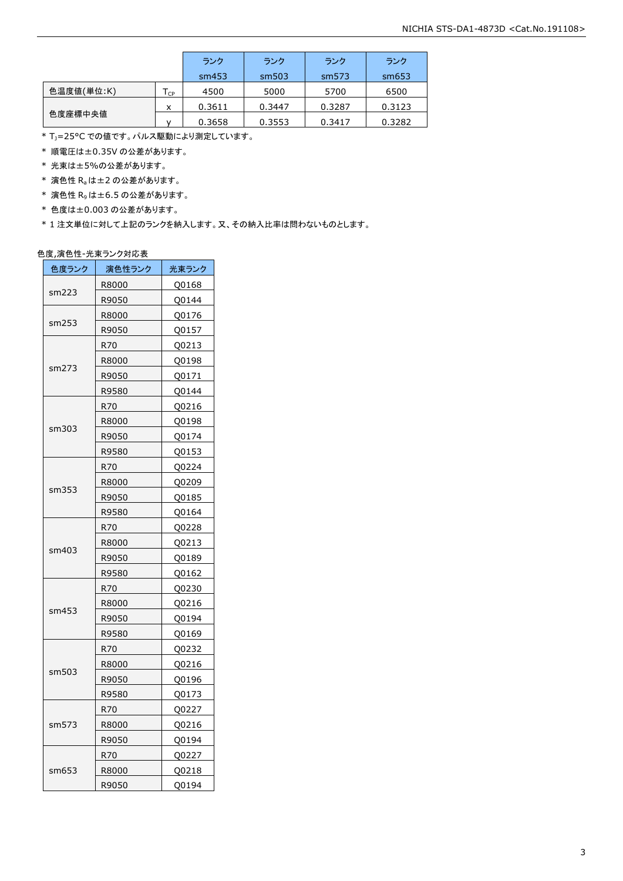|            |                            | ランク    | ランク    | ランク    | ランク    |
|------------|----------------------------|--------|--------|--------|--------|
|            |                            | sm453  | sm503  | sm573  | sm653  |
| 色温度値(単位:K) | $\mathsf{T}_{\mathsf{CP}}$ | 4500   | 5000   | 5700   | 6500   |
|            | x                          | 0.3611 | 0.3447 | 0.3287 | 0.3123 |
| 色度座標中央値    | v                          | 0.3658 | 0.3553 | 0.3417 | 0.3282 |

\* T<sub>J</sub>=25°C での値です。パルス駆動により測定しています。

\* 順電圧は±0.35V の公差があります。

\* 光束は±5%の公差があります。

 $*$  演色性  $R_a$ は±2の公差があります。

- \* 演色性 R9は±6.5 の公差があります。
- \* 色度は±0.003 の公差があります。

\* 1 注文単位に対して上記のランクを納入します。又、その納入比率は問わないものとします。

#### 色度,演色性-光束ランク対応表

| 色度ランク | 演色性ランク | 光束ランク |
|-------|--------|-------|
|       | R8000  | Q0168 |
| sm223 | R9050  | Q0144 |
|       | R8000  | Q0176 |
| sm253 | R9050  | Q0157 |
|       | R70    | Q0213 |
|       | R8000  | Q0198 |
| sm273 | R9050  | Q0171 |
|       | R9580  | Q0144 |
|       | R70    | Q0216 |
|       | R8000  | Q0198 |
| sm303 | R9050  | Q0174 |
|       | R9580  | Q0153 |
|       | R70    | Q0224 |
|       | R8000  | Q0209 |
| sm353 | R9050  | Q0185 |
|       | R9580  | Q0164 |
|       | R70    | Q0228 |
|       | R8000  | Q0213 |
| sm403 | R9050  | Q0189 |
|       | R9580  | Q0162 |
|       | R70    | Q0230 |
|       | R8000  | Q0216 |
| sm453 | R9050  | Q0194 |
|       | R9580  | Q0169 |
|       | R70    | Q0232 |
|       | R8000  | Q0216 |
| sm503 | R9050  | Q0196 |
|       | R9580  | Q0173 |
|       | R70    | Q0227 |
| sm573 | R8000  | Q0216 |
|       | R9050  | Q0194 |
|       | R70    | Q0227 |
| sm653 | R8000  | Q0218 |
|       | R9050  | Q0194 |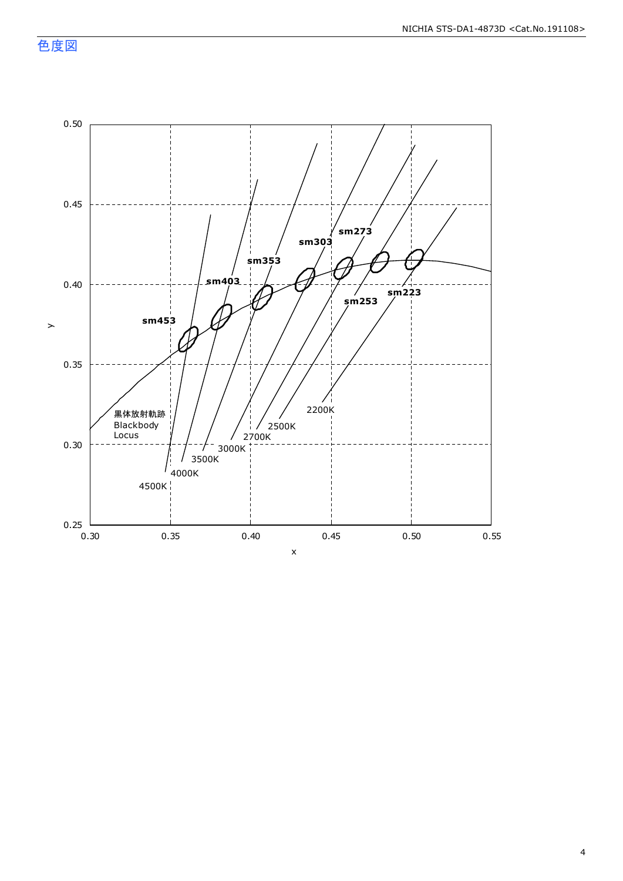色度図

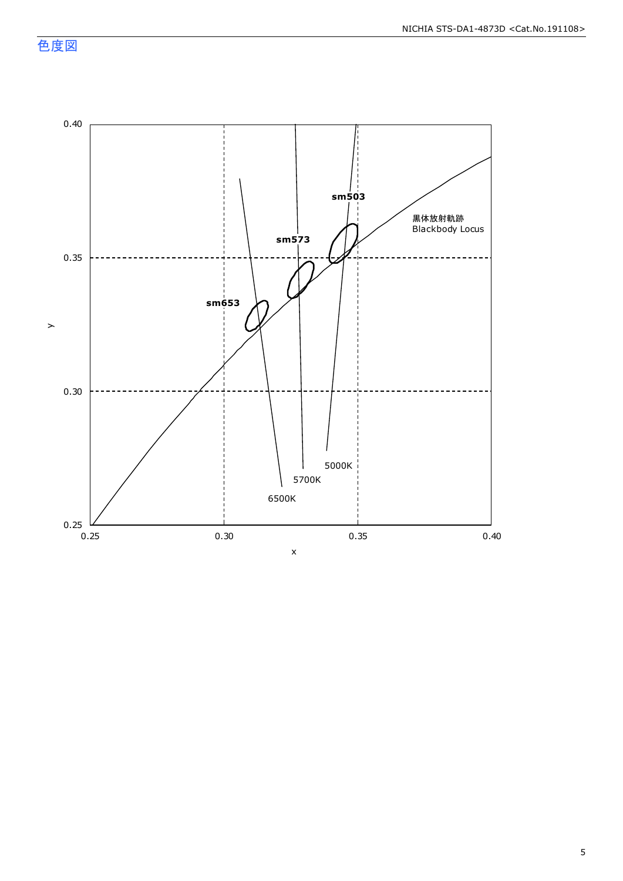色度図

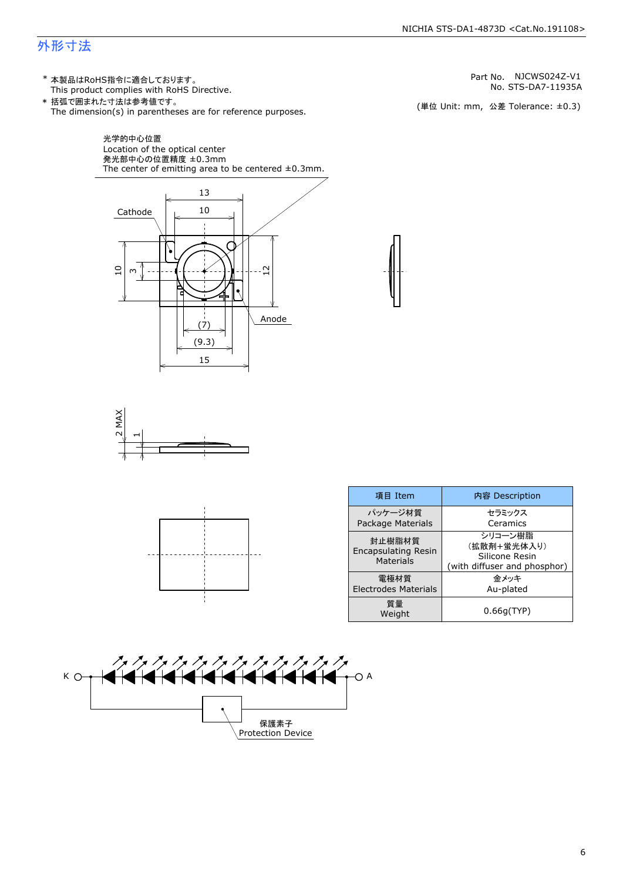### 外形寸法

(単位 Unit: mm) This product complies with RoHS Directive. \* 本製品はRoHS指令に適合しております。 (単位 Unit: mm, 公差 Tolerance: ±0.3) STS-DA7-11935A NJCWS024Z-V1 The dimension(s) in parentheses are for reference purposes. \* 括弧で囲まれた寸法は参考値です。 No. Part No.







| 項目 Item                                           | 内容 Description                                                           |  |
|---------------------------------------------------|--------------------------------------------------------------------------|--|
| パッケージ材質<br>Package Materials                      | セラミックス<br>Ceramics                                                       |  |
| 封止樹脂材質<br><b>Encapsulating Resin</b><br>Materials | シリコーン樹脂<br>(拡散剤+蛍光体入り)<br>Silicone Resin<br>(with diffuser and phosphor) |  |
| 電極材質<br><b>Electrodes Materials</b>               | 金メッキ<br>Au-plated                                                        |  |
| 質量<br>Weight                                      | 0.66q(TYP)                                                               |  |

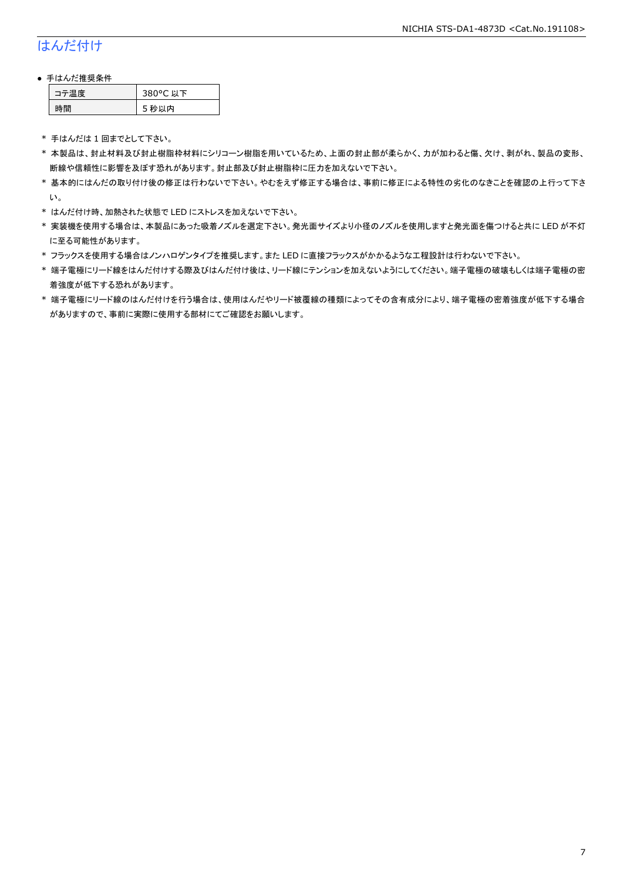## はんだ付け

#### ● 手はんだ推奨条件

| テ温度 | 380°C 以下 |
|-----|----------|
| .間  | 5 秒以内    |

\* 手はんだは 1 回までとして下さい。

- \* 本製品は、封止材料及び封止樹脂枠材料にシリコーン樹脂を用いているため、上面の封止部が柔らかく、力が加わると傷、欠け、剥がれ、製品の変形、 断線や信頼性に影響を及ぼす恐れがあります。封止部及び封止樹脂枠に圧力を加えないで下さい。
- \* 基本的にはんだの取り付け後の修正は行わないで下さい。やむをえず修正する場合は、事前に修正による特性の劣化のなきことを確認の上行って下さ い。
- \* はんだ付け時、加熱された状態で LED にストレスを加えないで下さい。
- \* 実装機を使用する場合は、本製品にあった吸着ノズルを選定下さい。発光面サイズより小径のノズルを使用しますと発光面を傷つけると共に LED が不灯 に至る可能性があります。
- \* フラックスを使用する場合はノンハロゲンタイプを推奨します。また LED に直接フラックスがかかるような工程設計は行わないで下さい。
- \* 端子電極にリード線をはんだ付けする際及びはんだ付け後は、リード線にテンションを加えないようにしてください。端子電極の破壊もしくは端子電極の密 着強度が低下する恐れがあります。
- \* 端子電極にリード線のはんだ付けを行う場合は、使用はんだやリード被覆線の種類によってその含有成分により、端子電極の密着強度が低下する場合 がありますので、事前に実際に使用する部材にてご確認をお願いします。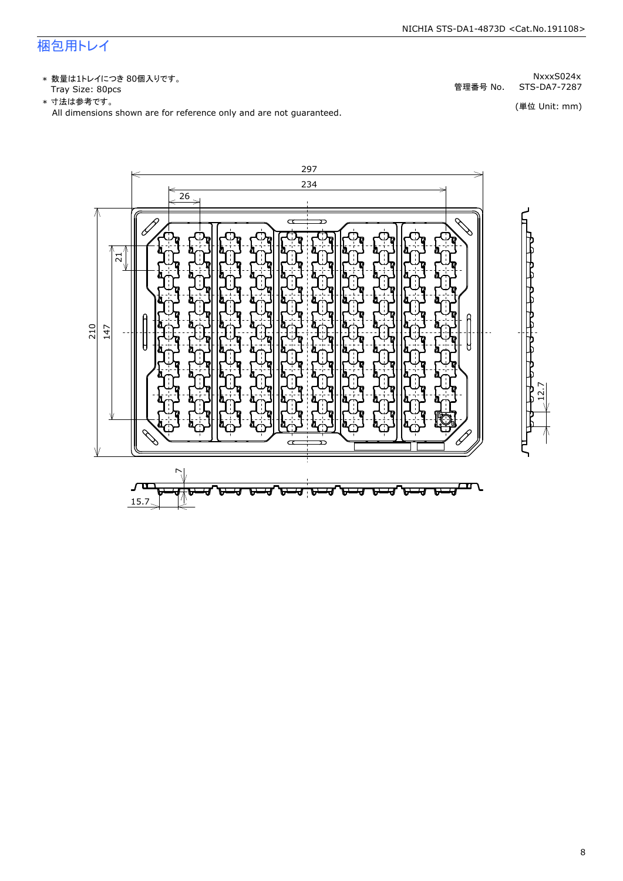## 梱包用トレイ

\* 数量は1トレイにつき 80個入りです。<br>Tray Size: 80pcs

\* 数量は1トレイにつき 80個入りです。<br>Tray Size: 80pcs<br>\* 寸法は参考です。<br>All dimensions shown are for reference only and are not guaranteed. \* づ法は参考です。 (単位 Unit: mm)

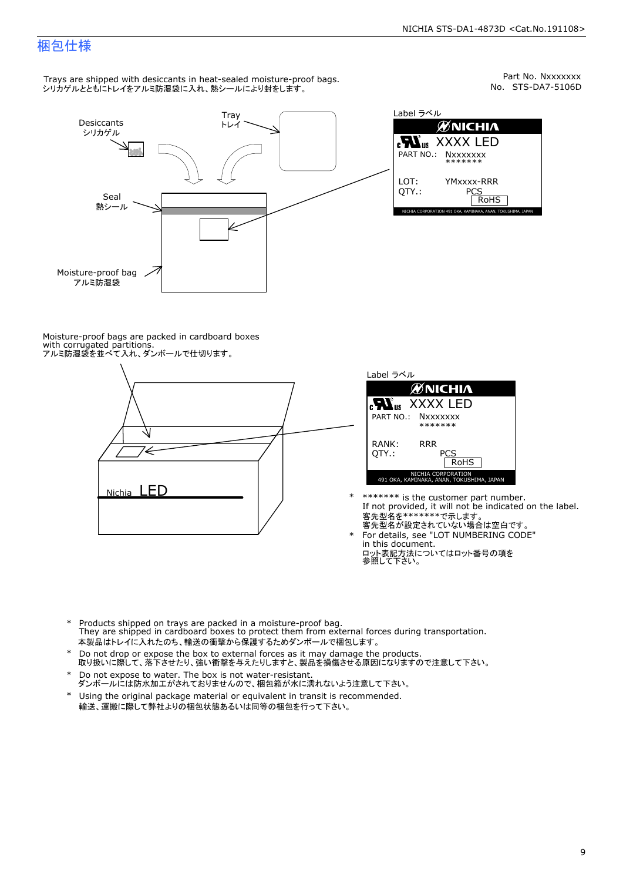## 梱包仕様

Trays are shipped with desiccants in heat-sealed moisture-proof bags. シリカゲルとともにトレイをアルミ防湿袋に入れ、熱シールにより封をします。



Part No. Nxxxxxxx<br>No. STS-DA7-5106D



Moisture-proof bags are packed in cardboard boxes with corrugated partitions. アルミ防湿袋を並べて入れ、ダンボールで仕切ります。





\* \*\*\*\*\*\*\* is the customer part number.<br>If not provided, it will not be indicated on the label.<br>客先型名が設定されていない場合は空白です。

For details, see "LOT NUMBERING CODE"<br>in this document.<br>ロット表記方法についてはロット番号の項を<br>参照して下さい。

- \* Products shipped on trays are packed in a moisture-proof bag.<br>They are shipped in cardboard boxes to protect them from external forces du<br>本製品はトレイに入れたのち、輸送の衝撃から保護するためダンボールで梱包します。<br>\* Do not drop or expose the box to exter Products shipped on trays are packed in a moisture-proof bag. They are shipped in cardboard boxes to protect them from external forces during transportation. 本製品はトレイに入れたのち、輸送の衝撃から保護するためダンボールで梱包します。
- Do not drop or expose the box to external forces as it may damage the products. \*
- 取り扱いに際して、落下させたり、強い衝撃を与えたりしますと、製品を損傷させる原因になりますので注意して下さい。 Do not expose to water. The box is not water-resistant. \*
- ダンボールには防水加工がされておりませんので、梱包箱が水に濡れないよう注意して下さい。 \*
- 輸送、運搬に際して弊社よりの梱包状態あるいは同等の梱包を行って下さい。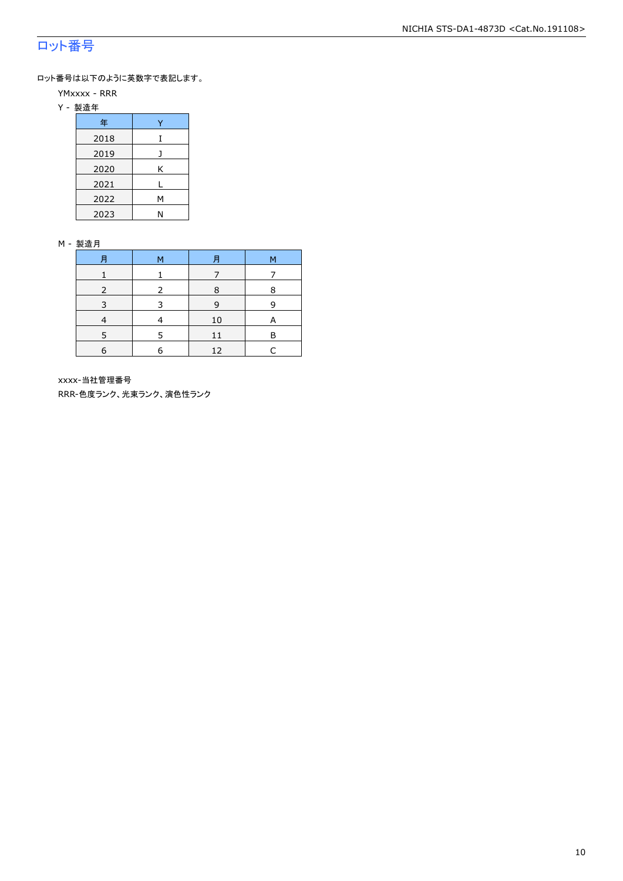## ロット番号

ロット番号は以下のように英数字で表記します。

- YMxxxx RRR
- Y 製造年

| 年    |   |
|------|---|
| 2018 |   |
| 2019 |   |
| 2020 | Κ |
| 2021 | L |
| 2022 | Μ |
| 2023 | Ν |

#### M - 製造月

| 月          | 月<br>M |    | М |
|------------|--------|----|---|
|            |        |    |   |
|            |        |    | 8 |
| 3          | ₹      | 9  | q |
|            |        | 10 |   |
|            | 5      | 11 | R |
| $\epsilon$ | 6      | 12 |   |

xxxx-当社管理番号

RRR-色度ランク、光束ランク、演色性ランク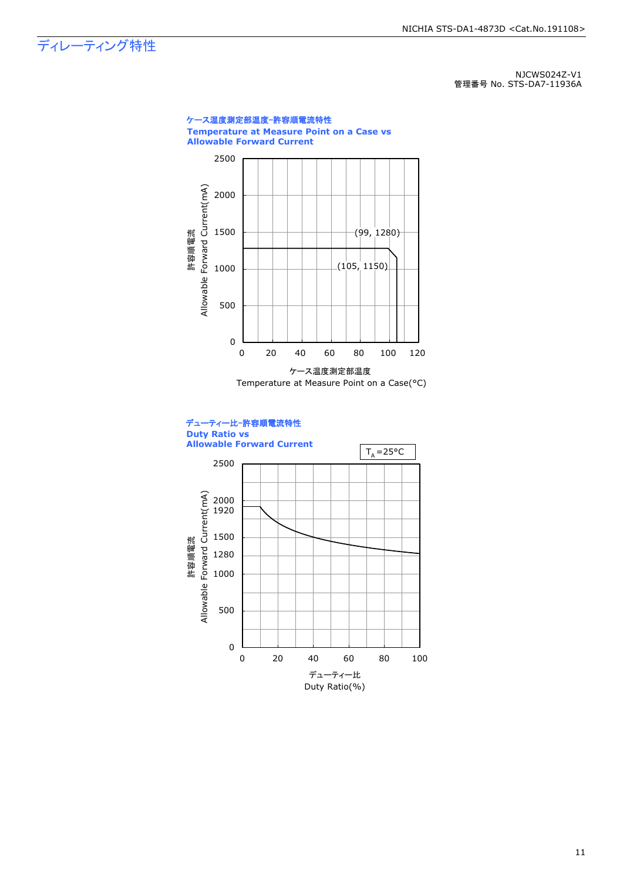ディレーティング特性

NJCWS024Z-V1 管理番号 No. STS-DA7-11936A

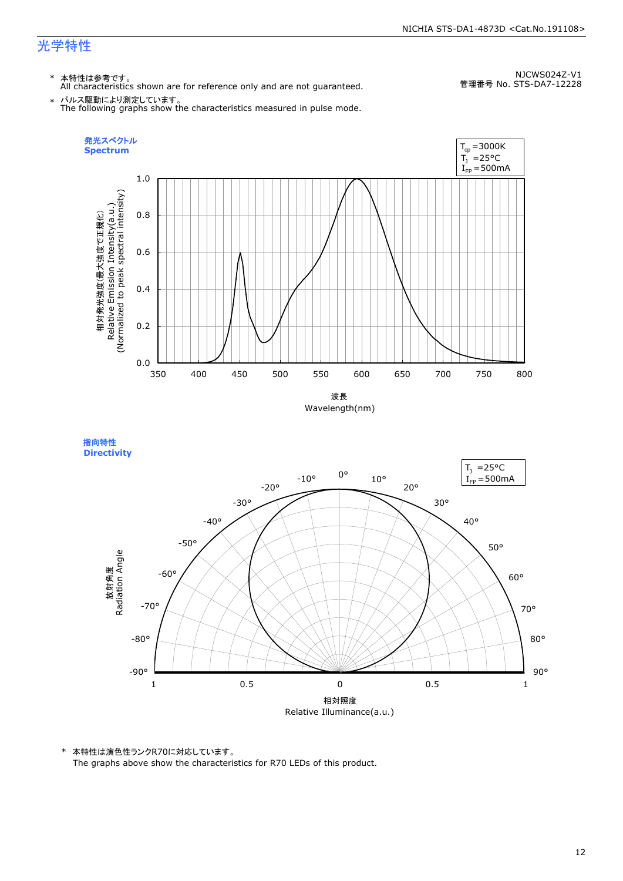\* 本特性は参考です。 All characteristics shown are for reference only and are not guaranteed.

NJCWS024Z-V1 管理番号 No. STS-DA7-12228

\* パルス駆動により測定しています。 The following graphs show the characteristics measured in pulse mode.



指向特性 **Directivity** 



\* 本特性は演色性ランクR70に対応しています。

The graphs above show the characteristics for R70 LEDs of this product.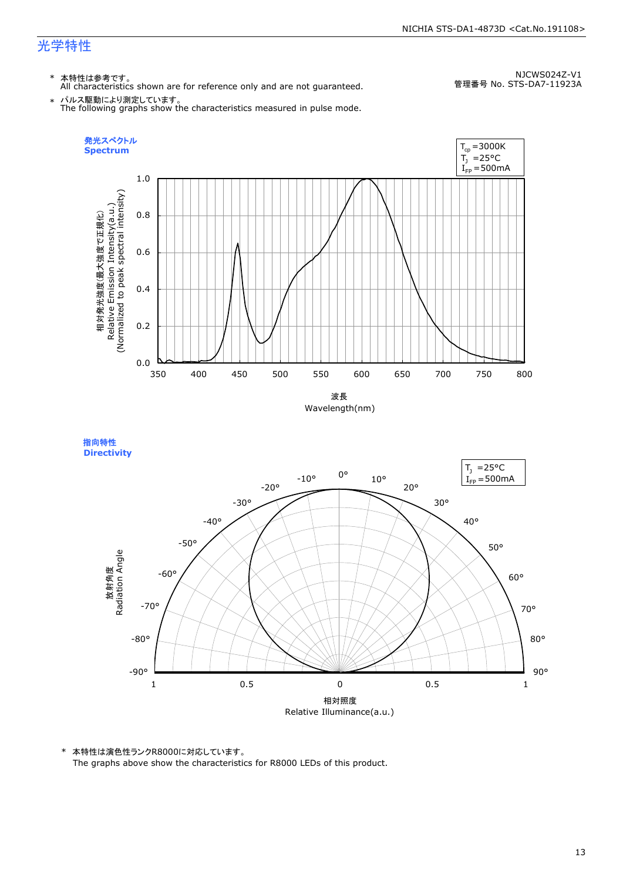\* 本特性は参考です。 All characteristics shown are for reference only and are not guaranteed.

NJCWS024Z-V1 管理番号 No. STS-DA7-11923A

\* パルス駆動により測定しています。 The following graphs show the characteristics measured in pulse mode.





\* 本特性は演色性ランクR8000に対応しています。 The graphs above show the characteristics for R8000 LEDs of this product.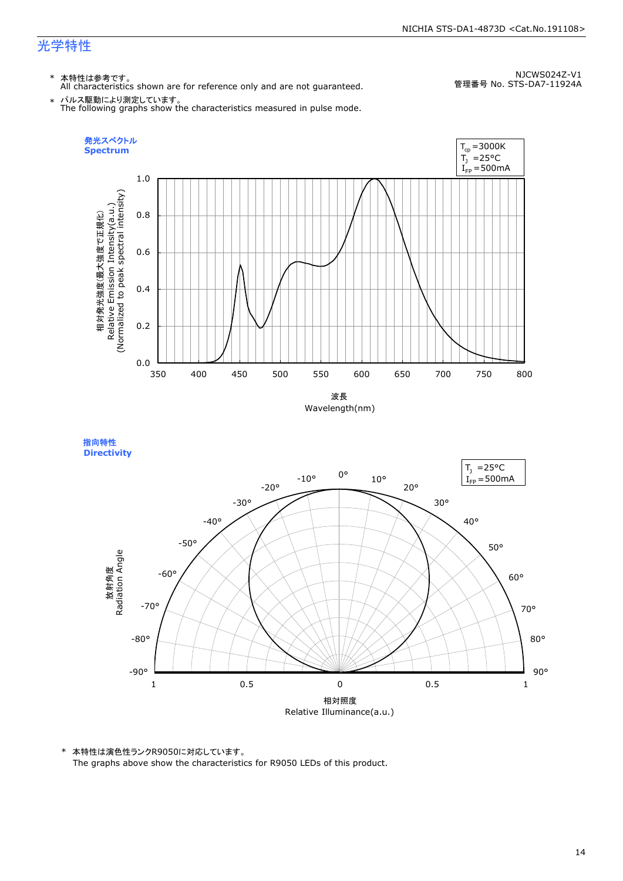\* 本特性は参考です。 All characteristics shown are for reference only and are not guaranteed.

NJCWS024Z-V1 管理番号 No. STS-DA7-11924A

\* パルス駆動により測定しています。 The following graphs show the characteristics measured in pulse mode.







\* 本特性は演色性ランクR9050に対応しています。

The graphs above show the characteristics for R9050 LEDs of this product.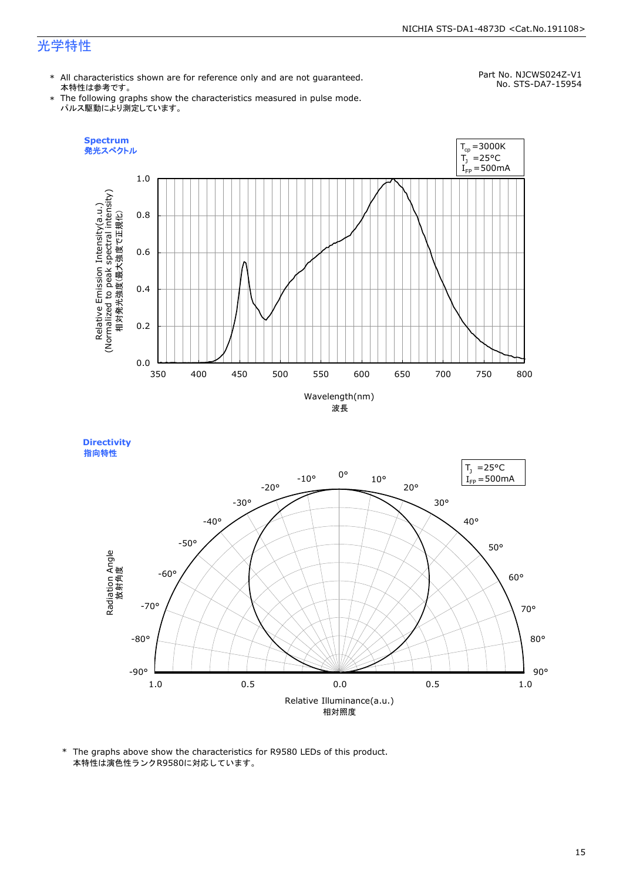#### NICHIA STS-DA1-4873D <Cat.No.191108>

## 光学特性

\* All characteristics shown are for reference only and are not guaranteed. 本特性は参考です。

## Part No. NJCWS024Z-V1

\* The following graphs show the characteristics measured in pulse mode. パルス駆動により測定しています。

No. STS-DA7-15954



**Directivity**  指向特性



\* The graphs above show the characteristics for R9580 LEDs of this product. 本特性は演色性ランクR9580に対応しています。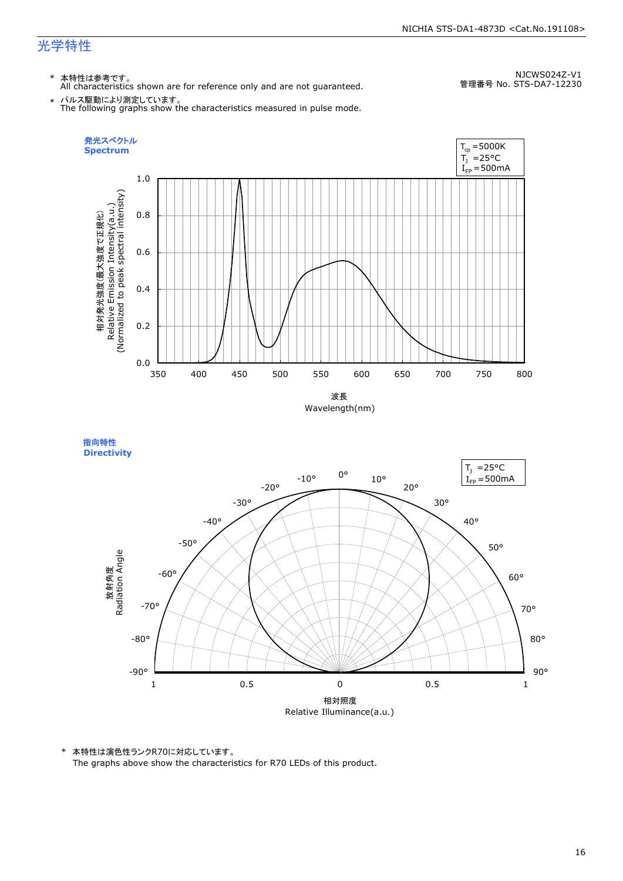\* 本特性は参考です。 All characteristics shown are for reference only and are not guaranteed.

NJCWS024Z-V1 管理番号 No. STS-DA7-12230

\* パルス駆動により測定しています。 The following graphs show the characteristics measured in pulse mode.

![](_page_16_Figure_6.jpeg)

指向特性 **Directivity** 

![](_page_16_Figure_8.jpeg)

\* 本特性は演色性ランクR70に対応しています。

The graphs above show the characteristics for R70 LEDs of this product.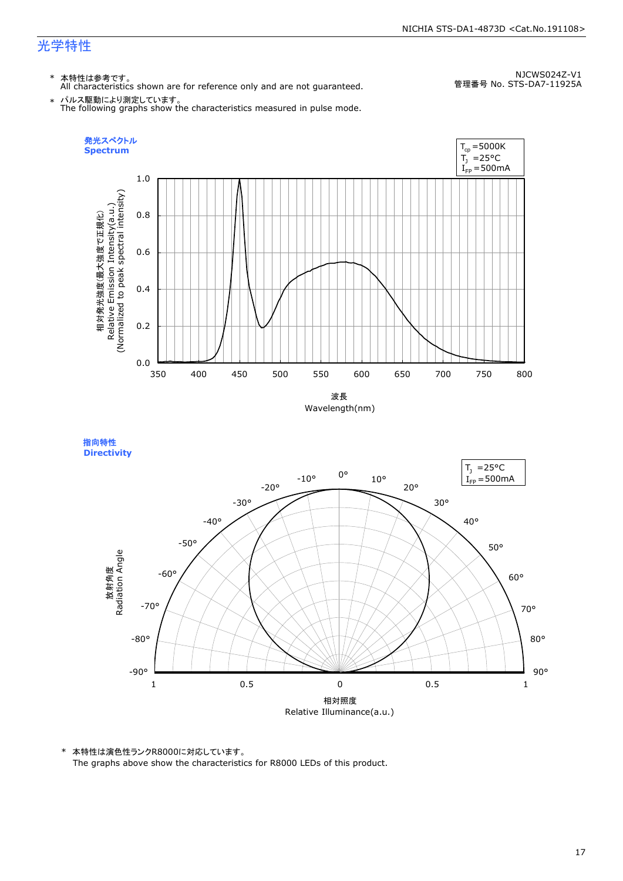\* 本特性は参考です。 All characteristics shown are for reference only and are not guaranteed.

NJCWS024Z-V1 管理番号 No. STS-DA7-11925A

\* パルス駆動により測定しています。 The following graphs show the characteristics measured in pulse mode.

![](_page_17_Figure_6.jpeg)

指向特性 **Directivity** 

![](_page_17_Figure_8.jpeg)

\* 本特性は演色性ランクR8000に対応しています。

The graphs above show the characteristics for R8000 LEDs of this product.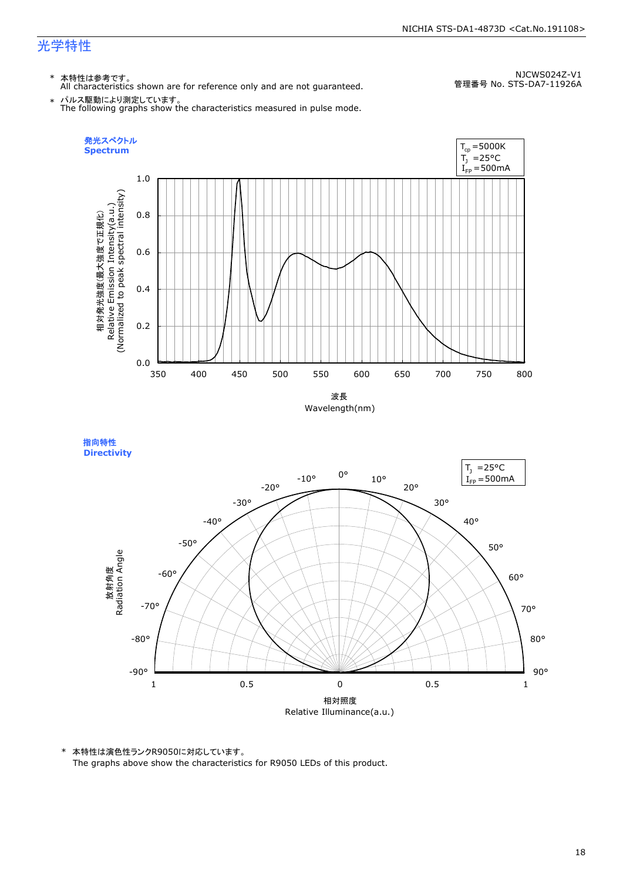\* 本特性は参考です。 All characteristics shown are for reference only and are not guaranteed.

NJCWS024Z-V1 管理番号 No. STS-DA7-11926A

\* パルス駆動により測定しています。 The following graphs show the characteristics measured in pulse mode.

![](_page_18_Figure_6.jpeg)

![](_page_18_Figure_7.jpeg)

![](_page_18_Figure_8.jpeg)

\* 本特性は演色性ランクR9050に対応しています。

The graphs above show the characteristics for R9050 LEDs of this product.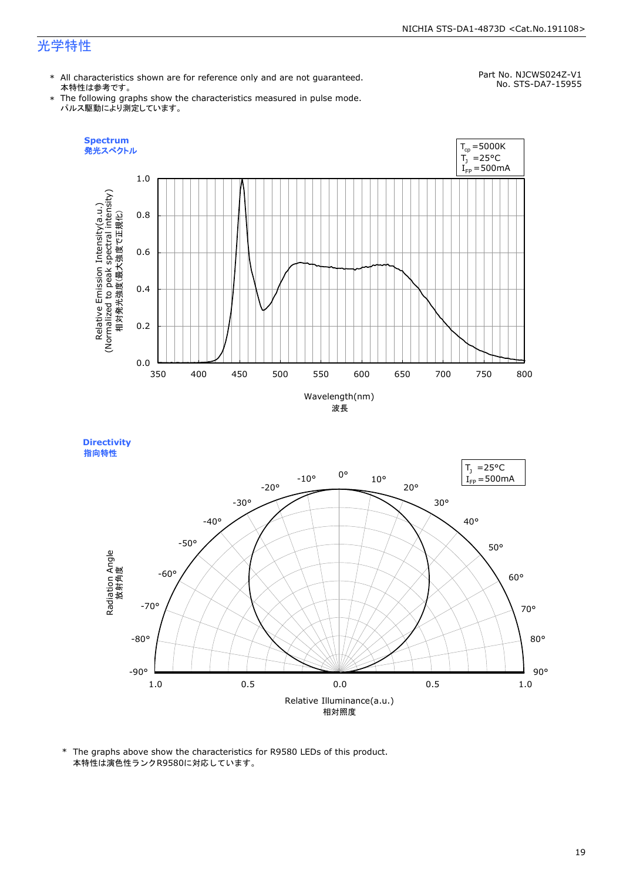#### NICHIA STS-DA1-4873D <Cat.No.191108>

## 光学特性

\* All characteristics shown are for reference only and are not guaranteed. 本特性は参考です。

Part No. NJCWS024Z-V1 No. STS-DA7-15955

\* The following graphs show the characteristics measured in pulse mode. パルス駆動により測定しています。

![](_page_19_Figure_5.jpeg)

**Directivity**  指向特性

![](_page_19_Figure_7.jpeg)

\* The graphs above show the characteristics for R9580 LEDs of this product. 本特性は演色性ランクR9580に対応しています。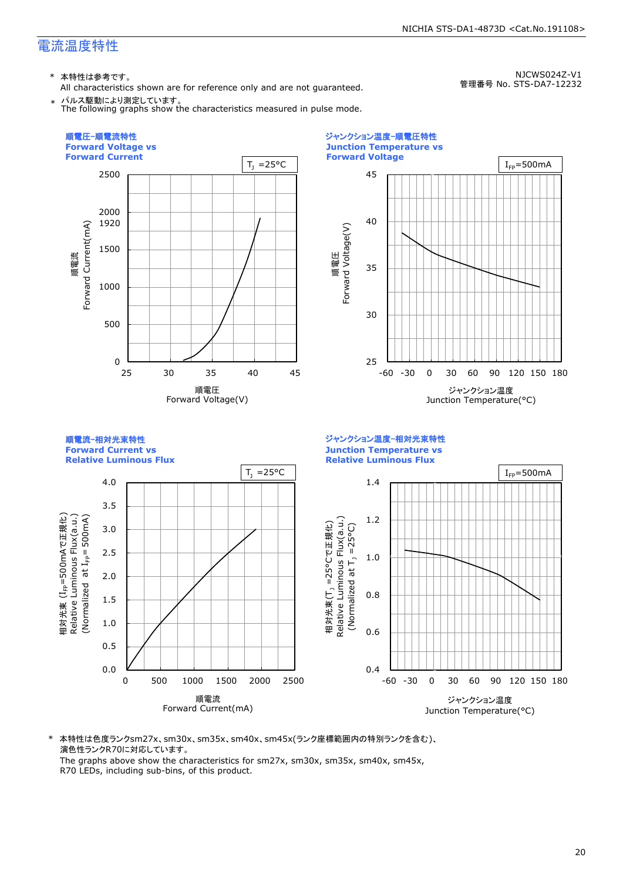All characteristics shown are for reference only and are not guaranteed.

NJCWS024Z-V1 管理番号 No. STS-DA7-12232

NICHIA STS-DA1-4873D <Cat.No.191108>

パルス駆動により測定しています。 The following graphs show the characteristics measured in pulse mode.

![](_page_20_Figure_5.jpeg)

\* 本特性は色度ランクsm27x、sm30x、sm35x、sm40x、sm45x(ランク座標範囲内の特別ランクを含む)、 演色性ランクR70に対応しています。 The graphs above show the characteristics for sm27x, sm30x, sm35x, sm40x, sm45x,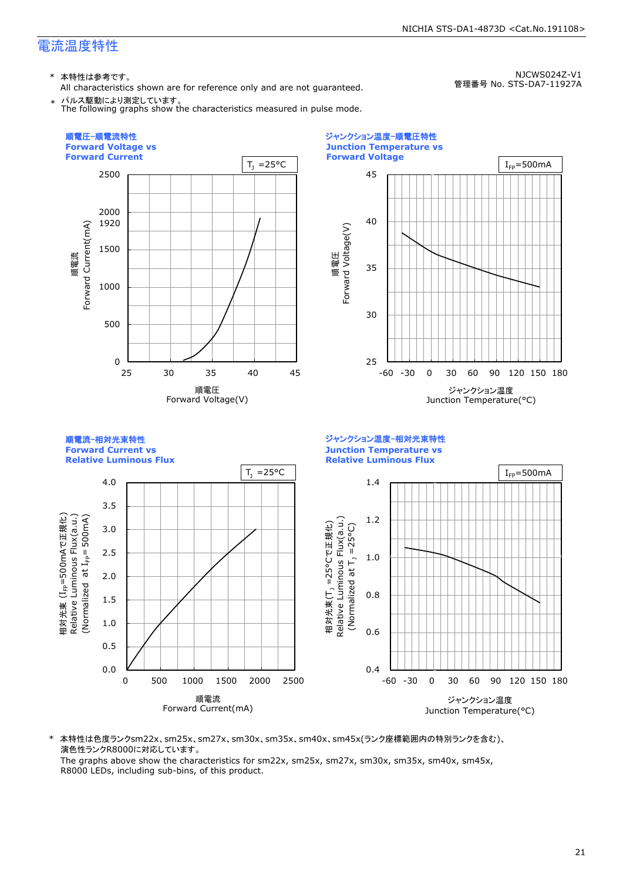All characteristics shown are for reference only and are not guaranteed. パルス駆動により測定しています。

NJCWS024Z-V1 管理番号 No. STS-DA7-11927A

NICHIA STS-DA1-4873D <Cat.No.191108>

The following graphs show the characteristics measured in pulse mode.

![](_page_21_Figure_5.jpeg)

\* 本特性は色度ランクsm22x、sm25x、sm27x、sm30x、sm35x、sm40x、sm45x(ランク座標範囲内の特別ランクを含む)、 演色性ランクR8000に対応しています。

The graphs above show the characteristics for sm22x, sm25x, sm27x, sm30x, sm35x, sm40x, sm45x, R8000 LEDs, including sub-bins, of this product.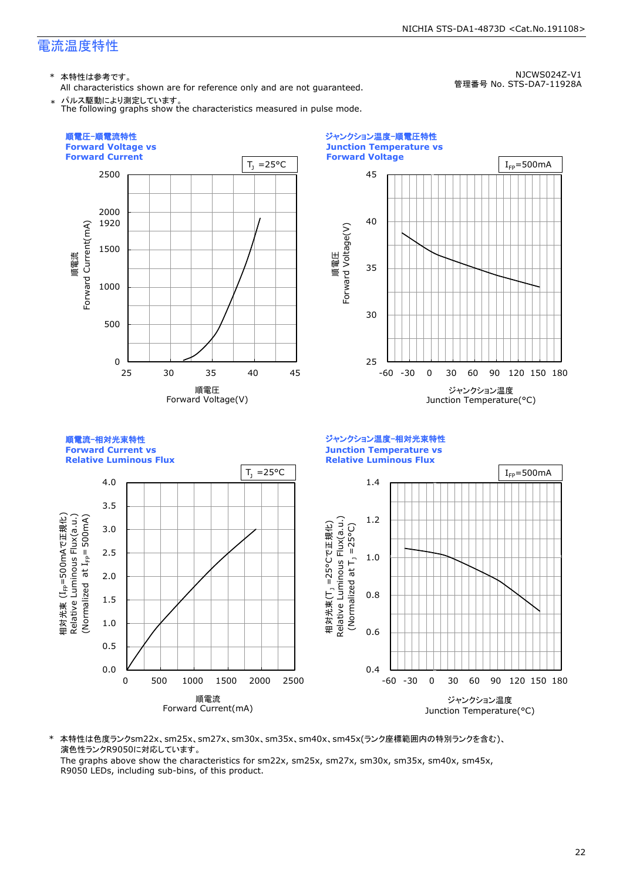All characteristics shown are for reference only and are not guaranteed. パルス駆動により測定しています。

NJCWS024Z-V1 管理番号 No. STS-DA7-11928A

NICHIA STS-DA1-4873D <Cat.No.191108>

The following graphs show the characteristics measured in pulse mode.

![](_page_22_Figure_5.jpeg)

\* 本特性は色度ランクsm22x、sm25x、sm27x、sm30x、sm35x、sm40x、sm45x(ランク座標範囲内の特別ランクを含む)、 演色性ランクR9050に対応しています。

The graphs above show the characteristics for sm22x, sm25x, sm27x, sm30x, sm35x, sm40x, sm45x, R9050 LEDs, including sub-bins, of this product.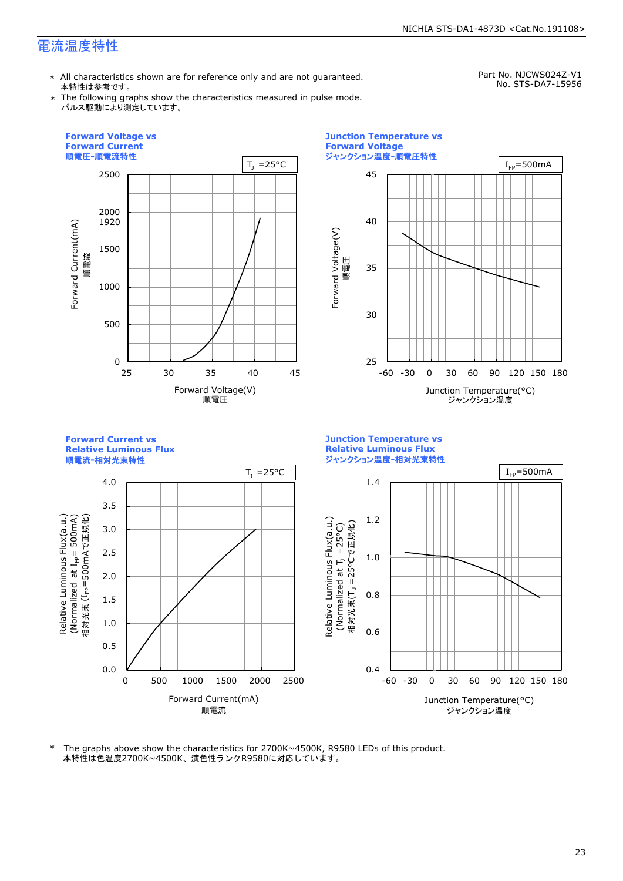\* All characteristics shown are for reference only and are not guaranteed. 本特性は参考です。

Part No. NJCWS024Z-V1 No. STS-DA7-15956

\* The following graphs show the characteristics measured in pulse mode. パルス駆動により測定しています。

![](_page_23_Figure_5.jpeg)

本特性は色温度2700K~4500K、演色性ランクR9580に対応しています。 \* The graphs above show the characteristics for 2700K~4500K, R9580 LEDs of this product.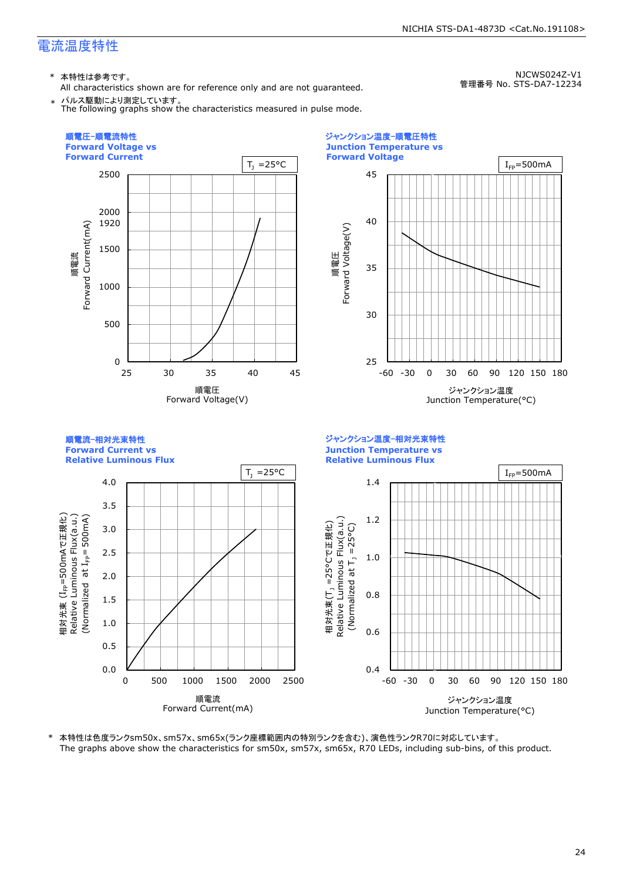\* 本特性は参考です。

All characteristics shown are for reference only and are not guaranteed. \* パルス駆動により測定しています。

The following graphs show the characteristics measured in pulse mode.

NJCWS024Z-V1 管理番号 No. STS-DA7-12234

![](_page_24_Figure_7.jpeg)

\* 本特性は色度ランクsm50x、sm57x、sm65x(ランク座標範囲内の特別ランクを含む)、演色性ランクR70に対応しています。 The graphs above show the characteristics for sm50x, sm57x, sm65x, R70 LEDs, including sub-bins, of this product.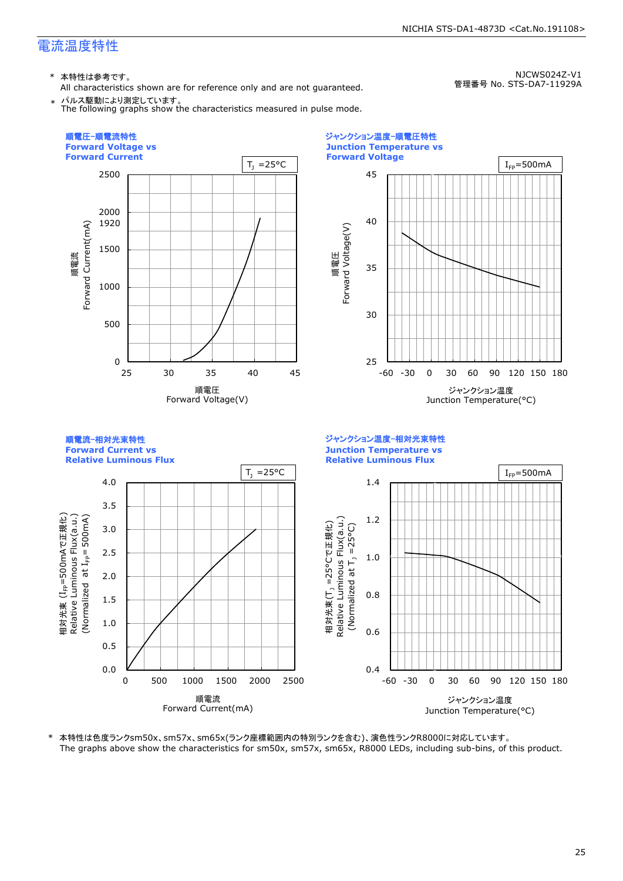All characteristics shown are for reference only and are not guaranteed. \* パルス駆動により測定しています。

NJCWS024Z-V1 管理番号 No. STS-DA7-11929A

The following graphs show the characteristics measured in pulse mode.

![](_page_25_Figure_5.jpeg)

\* 本特性は色度ランクsm50x、sm57x、sm65x(ランク座標範囲内の特別ランクを含む)、演色性ランクR8000に対応しています。 The graphs above show the characteristics for sm50x, sm57x, sm65x, R8000 LEDs, including sub-bins, of this product.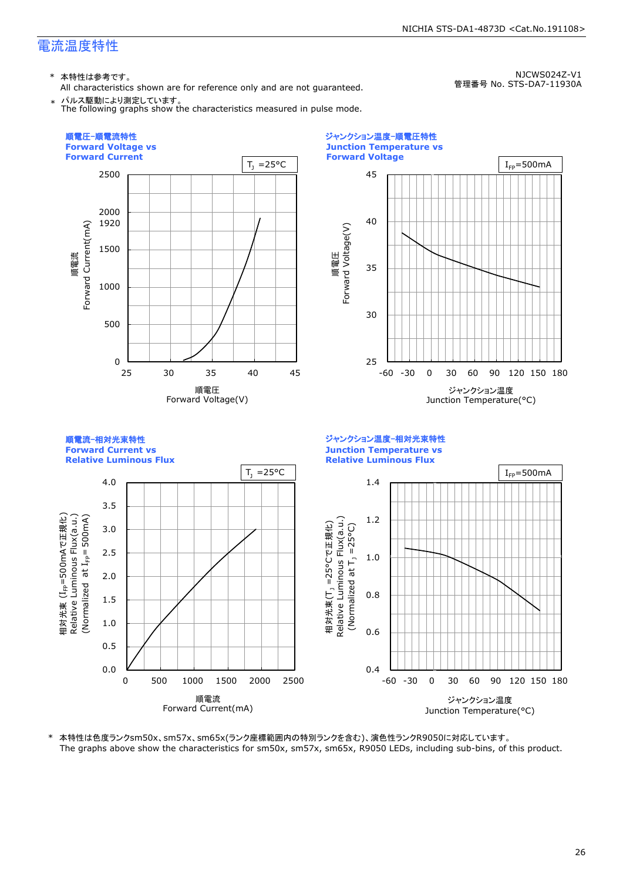All characteristics shown are for reference only and are not guaranteed.

NJCWS024Z-V1 管理番号 No. STS-DA7-11930A

\* パルス駆動により測定しています。 The following graphs show the characteristics measured in pulse mode.

![](_page_26_Figure_5.jpeg)

\* 本特性は色度ランクsm50x、sm57x、sm65x(ランク座標範囲内の特別ランクを含む)、演色性ランクR9050に対応しています。 The graphs above show the characteristics for sm50x, sm57x, sm65x, R9050 LEDs, including sub-bins, of this product.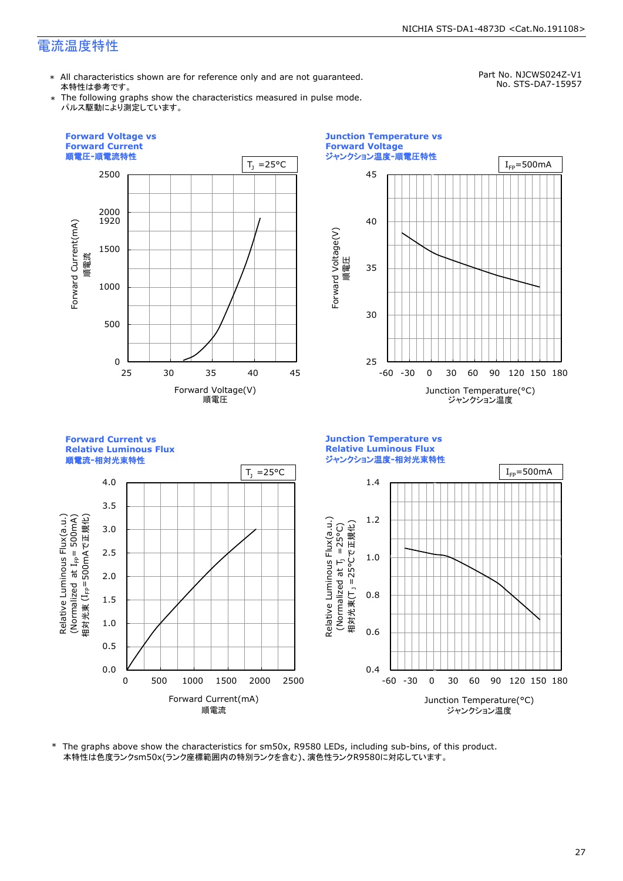\* All characteristics shown are for reference only and are not guaranteed. 本特性は参考です。

Part No. NJCWS024Z-V1 No. STS-DA7-15957

\* The following graphs show the characteristics measured in pulse mode. パルス駆動により測定しています。

![](_page_27_Figure_5.jpeg)

\* The graphs above show the characteristics for sm50x, R9580 LEDs, including sub-bins, of this product. 本特性は色度ランクsm50x(ランク座標範囲内の特別ランクを含む)、演色性ランクR9580に対応しています。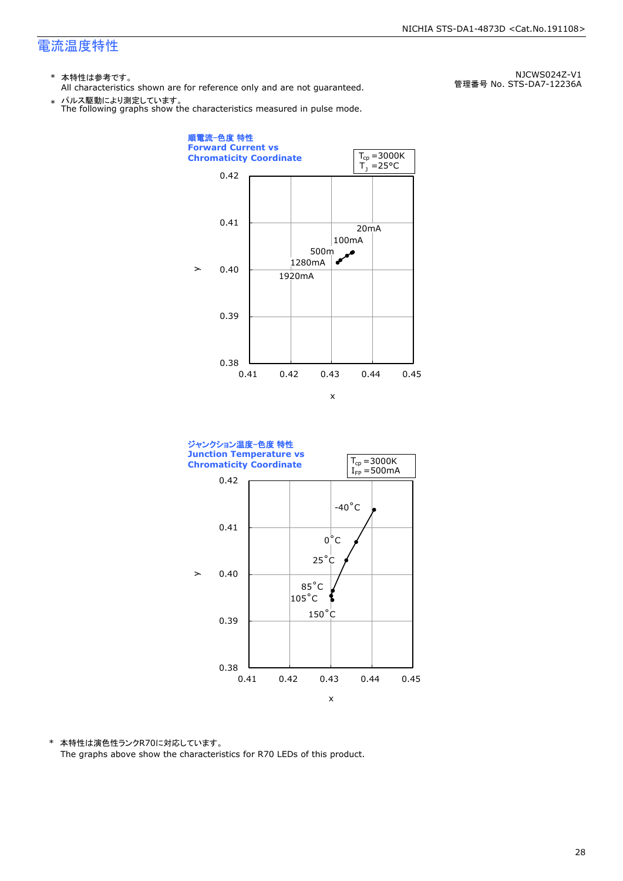- \* 本特性は参考です。
- All characteristics shown are for reference only and are not guaranteed.

\* パルス駆動により測定しています。 The following graphs show the characteristics measured in pulse mode.

0.38 0.39 0.40 0.41 0.42 0.41 0.42 0.43 0.44 0.45 20mA 500m<br>Jm^  $\frac{1}{2}$ 1920mA 100mA 1280mA 順電流-色度 特性 **Forward Current vs Chromaticity Coordinate**   $\geq$ x  $T_1 = 25^{\circ}C$  $T_{cp} = 3000K$ 

![](_page_28_Figure_6.jpeg)

\* 本特性は演色性ランクR70に対応しています。 The graphs above show the characteristics for R70 LEDs of this product.

NJCWS024Z-V1 管理番号 No. STS-DA7-12236A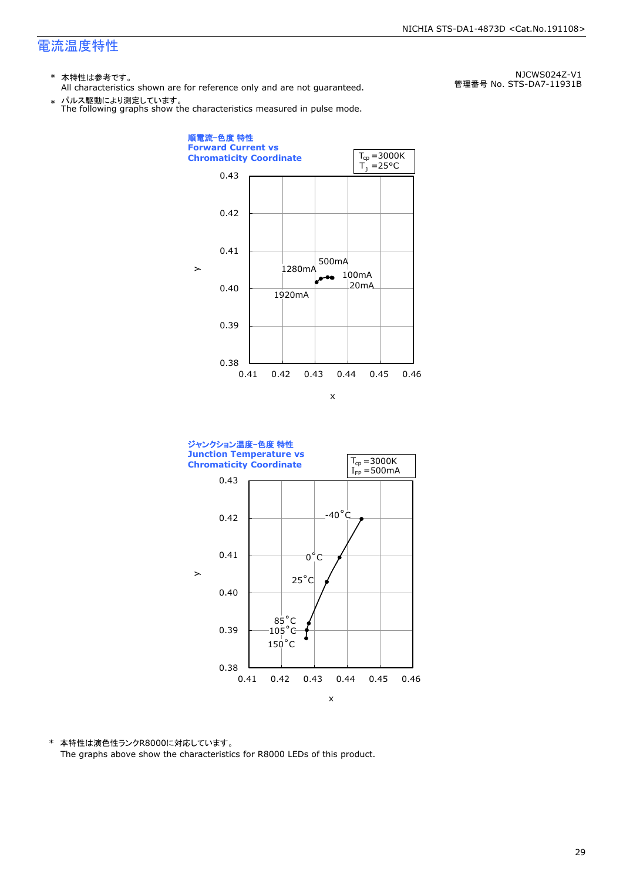- \* 本特性は参考です。
- All characteristics shown are for reference only and are not guaranteed.

\* パルス駆動により測定しています。 The following graphs show the characteristics measured in pulse mode.

0.38 0.39 0.40 0.41 0.42 0.43 0.41 0.42 0.43 0.44 0.45 0.46 20mA 100mA 500mA 1280mA 1920mA 順電流-色度 特性 **Forward Current vs Chromaticity Coordinate**   $\geq$ x  $T_1 = 25^{\circ}C$  $T_{cp} = 3000K$ 

![](_page_29_Figure_6.jpeg)

\* 本特性は演色性ランクR8000に対応しています。 The graphs above show the characteristics for R8000 LEDs of this product.

NJCWS024Z-V1 管理番号 No. STS-DA7-11931B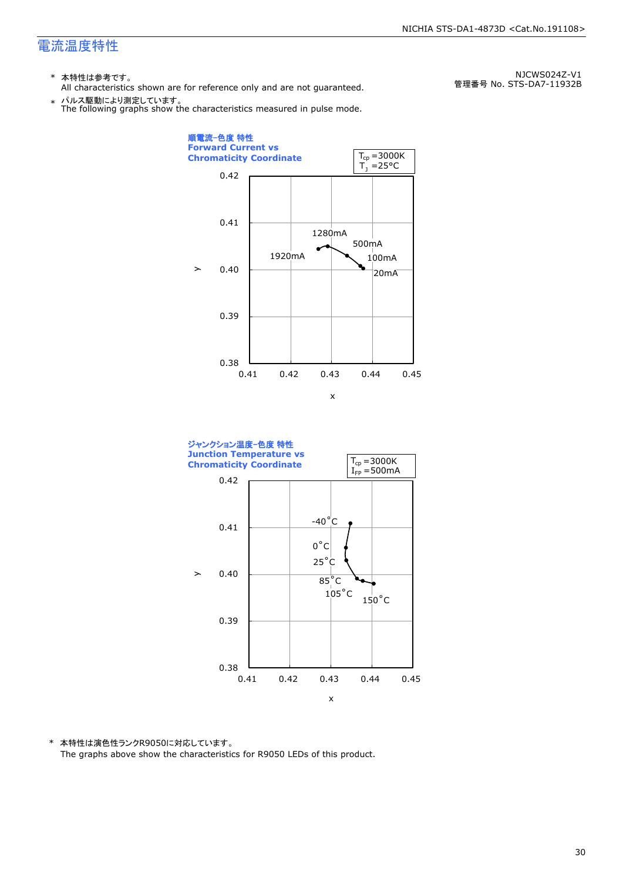- \* 本特性は参考です。
- All characteristics shown are for reference only and are not guaranteed.

\* パルス駆動により測定しています。 The following graphs show the characteristics measured in pulse mode.

 $\mathbf{y}$ 

0.38 0.39 0.40 0.41 0.42 0.41 0.42 0.43 0.44 0.45 20mA 100mA 500mA 1280mA 1920mA 順電流-色度 特性 **Forward Current vs Chromaticity Coordinate**  x  $T_1 = 25$ °C  $T_{cp} = 3000K$ 

![](_page_30_Figure_6.jpeg)

\* 本特性は演色性ランクR9050に対応しています。 The graphs above show the characteristics for R9050 LEDs of this product.

NJCWS024Z-V1 管理番号 No. STS-DA7-11932B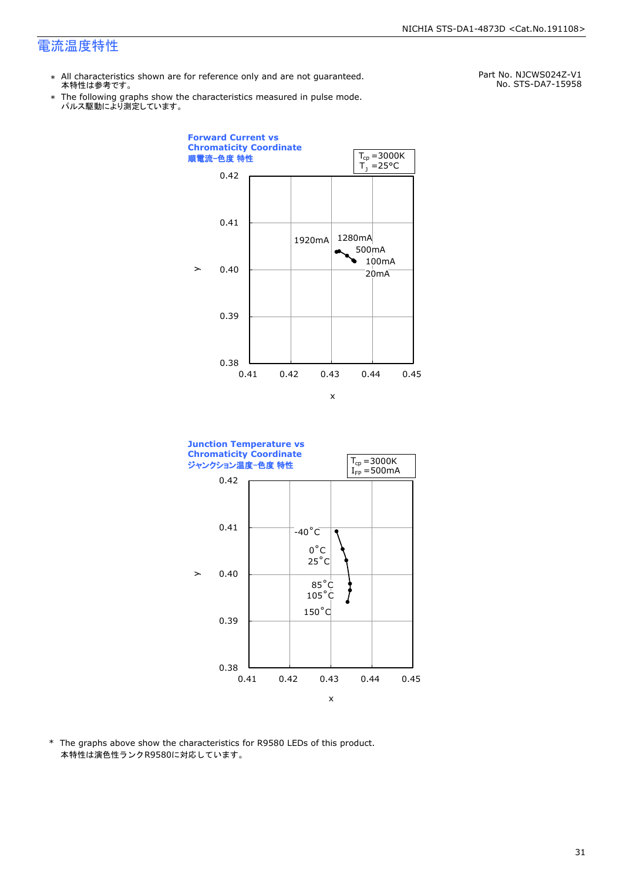- \* All characteristics shown are for reference only and are not guaranteed. 本特性は参考です。
- \* Ine following graphs show tr<br>パルス駆動により測定しています。 The following graphs show the characteristics measured in pulse mode.

Part No. NJCWS024Z-V1 No. STS-DA7-15958

![](_page_31_Figure_5.jpeg)

![](_page_31_Figure_6.jpeg)

\* The graphs above show the characteristics for R9580 LEDs of this product. 本特性は演色性ランクR9580に対応しています。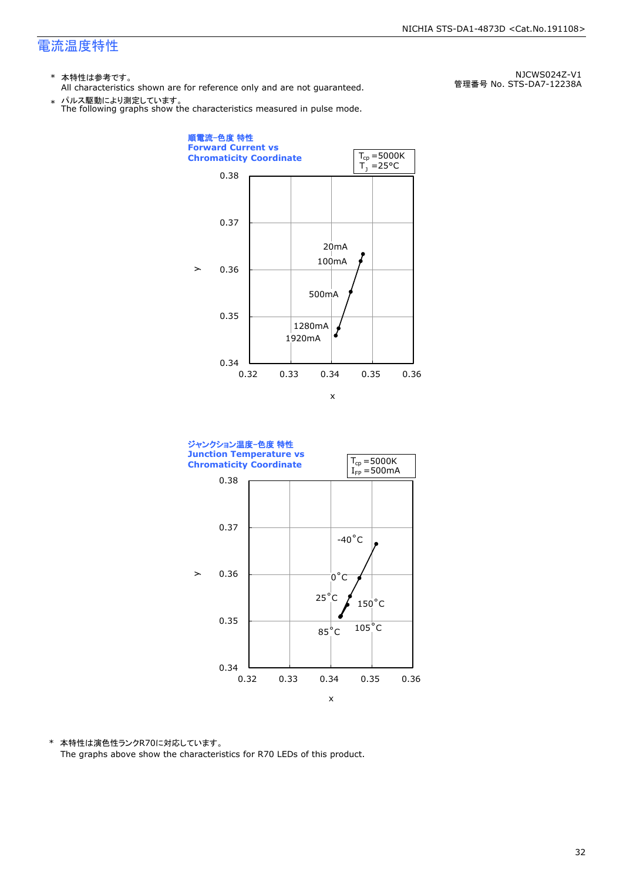- \* 本特性は参考です。
- All characteristics shown are for reference only and are not guaranteed.

NJCWS024Z-V1 管理番号 No. STS-DA7-12238A

![](_page_32_Figure_5.jpeg)

![](_page_32_Figure_6.jpeg)

![](_page_32_Figure_7.jpeg)

\* 本特性は演色性ランクR70に対応しています。 The graphs above show the characteristics for R70 LEDs of this product.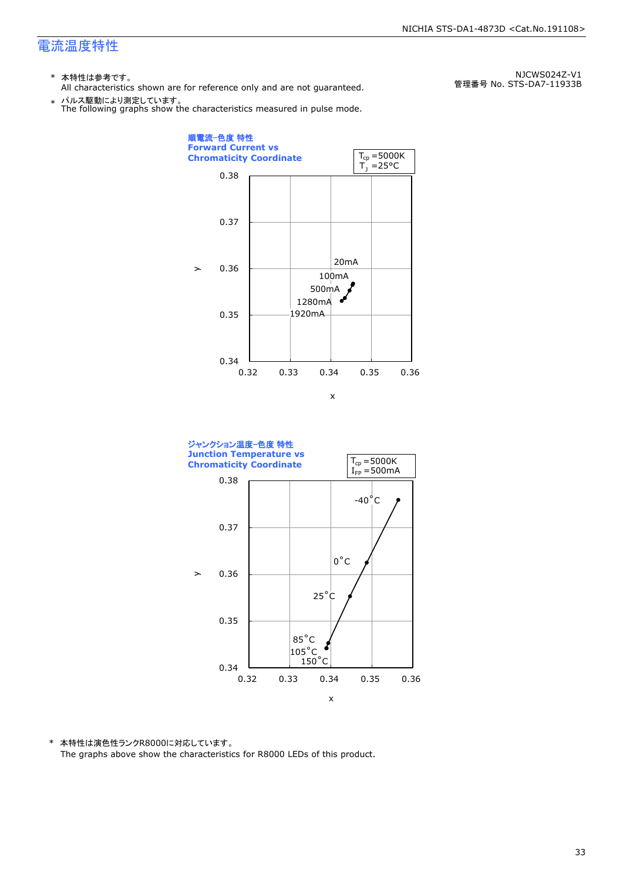- \* 本特性は参考です。
- All characteristics shown are for reference only and are not guaranteed.

\* パルス駆動により測定しています。 The following graphs show the characteristics measured in pulse mode.

0.34 0.35 0.36 0.37 0.38 0.32 0.33 0.34 0.35 0.36 20mA 100mA 500mA 1280mA 1920mA 順電流-色度 特性 **Forward Current vs Chromaticity Coordinate**   $\mathbf{y}$ x  $T_1 = 25$ °C  $T_{cp} = 5000K$ 

![](_page_33_Figure_6.jpeg)

\* 本特性は演色性ランクR8000に対応しています。 The graphs above show the characteristics for R8000 LEDs of this product.

NJCWS024Z-V1 管理番号 No. STS-DA7-11933B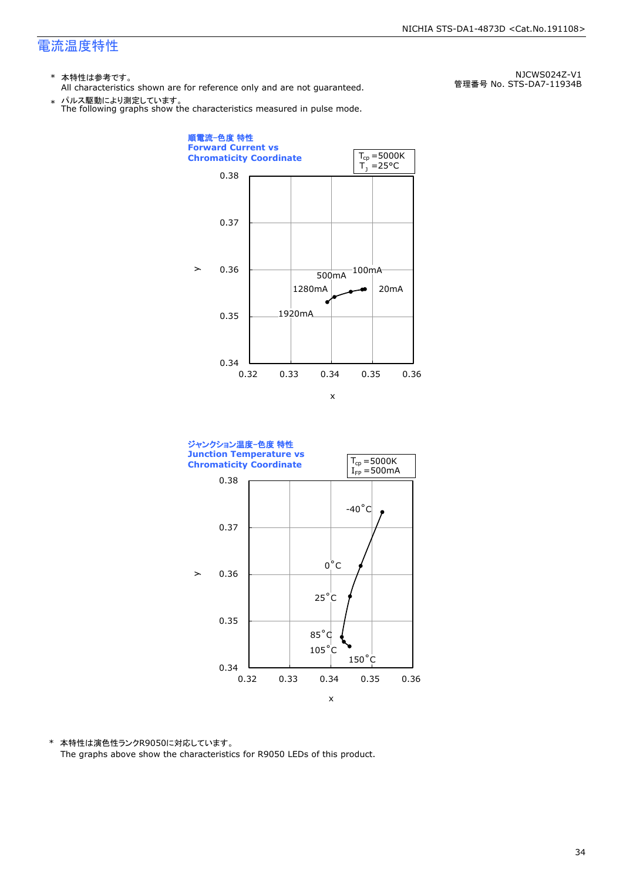- \* 本特性は参考です。
- All characteristics shown are for reference only and are not guaranteed.

\* パルス駆動により測定しています。 The following graphs show the characteristics measured in pulse mode.

![](_page_34_Figure_5.jpeg)

![](_page_34_Figure_6.jpeg)

\* 本特性は演色性ランクR9050に対応しています。 The graphs above show the characteristics for R9050 LEDs of this product.

NJCWS024Z-V1 管理番号 No. STS-DA7-11934B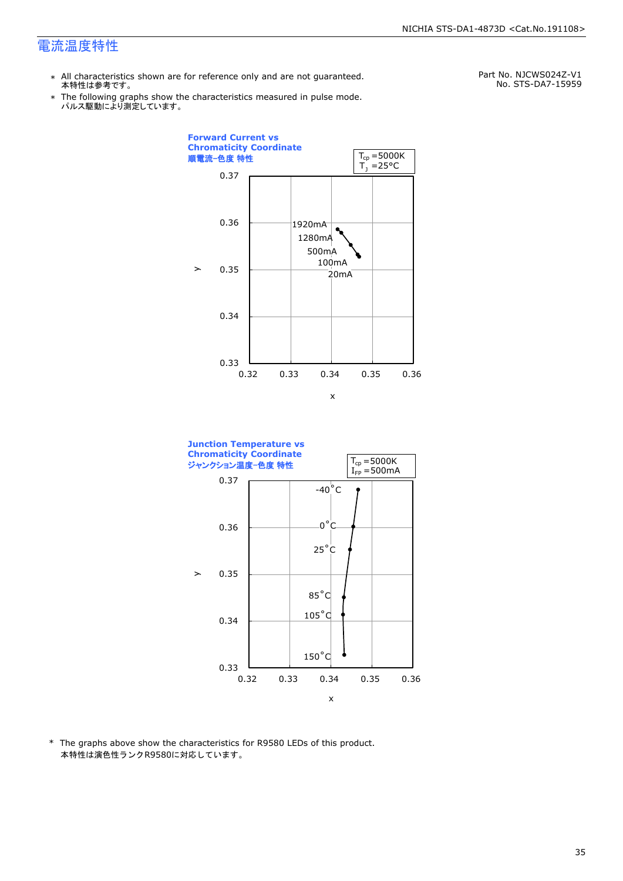\*

- \* All characteristics shown are for reference only and are not guaranteed. 本特性は参考です。
	- パルス駆動により測定しています。 The following graphs show the characteristics measured in pulse mode.

Part No. NJCWS024Z-V1 No. STS-DA7-15959

![](_page_35_Figure_5.jpeg)

![](_page_35_Figure_6.jpeg)

\* The graphs above show the characteristics for R9580 LEDs of this product. 本特性は演色性ランクR9580に対応しています。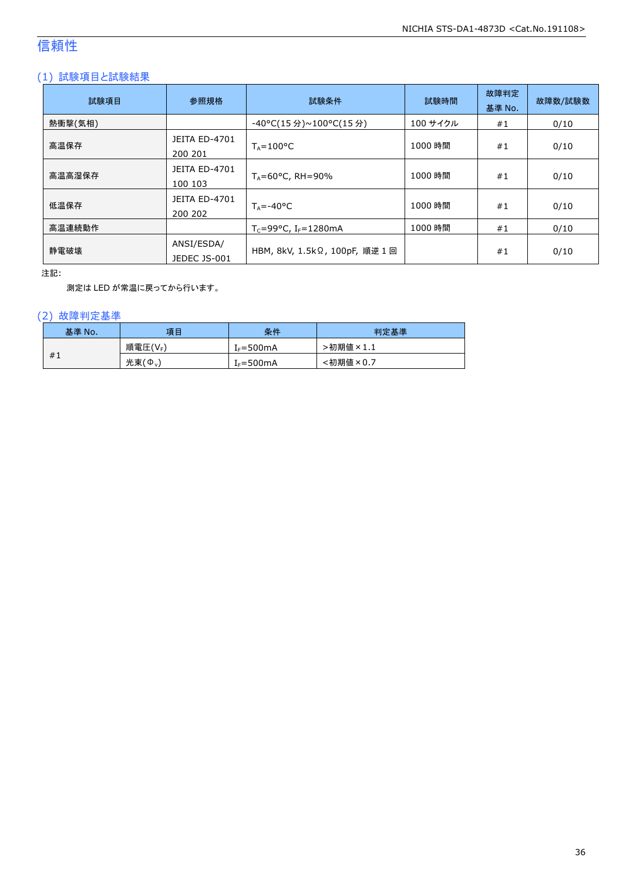## 信頼性

#### (1) 試験項目と試験結果

| 試験項目    | 参照規格                            | 試験条件                                         | 試験時間     | 故障判定<br>基準 No. | 故障数/試験数 |
|---------|---------------------------------|----------------------------------------------|----------|----------------|---------|
| 熱衝撃(気相) |                                 | -40°C(15 分)~100°C(15 分)                      | 100 サイクル | #1             | 0/10    |
| 高温保存    | <b>JEITA ED-4701</b><br>200 201 | $T_A = 100^{\circ}C$                         | 1000 時間  | #1             | 0/10    |
| 高温高湿保存  | <b>JEITA ED-4701</b><br>100 103 | $T_A = 60^{\circ}$ C, RH = 90%               | 1000 時間  | #1             | 0/10    |
| 低温保存    | JEITA ED-4701<br>200 202        | $T_{\text{A}} = -40^{\circ}C$                | 1000 時間  | #1             | 0/10    |
| 高温連続動作  |                                 | $T_c = 99^{\circ}C$ , I <sub>F</sub> =1280mA | 1000 時間  | #1             | 0/10    |
| 静電破壊    | ANSI/ESDA/<br>JEDEC JS-001      | HBM, 8kV, 1.5kΩ, 100pF, 順逆 1 回               |          | #1             | 0/10    |

注記:

測定は LED が常温に戻ってから行います。

#### (2) 故障判定基準

| 基準 No. | 項目                   | 条件                    | 判定基準                          |
|--------|----------------------|-----------------------|-------------------------------|
|        | 順電圧(VF)              | I <sub>F</sub> =500mA | ·初期値<br>$\sqrt{2} \times 1.1$ |
| #1     | 光束<br>$\phi_{\rm v}$ | I <sub>F</sub> =500mA | :初期値<br>$\times 0.7$          |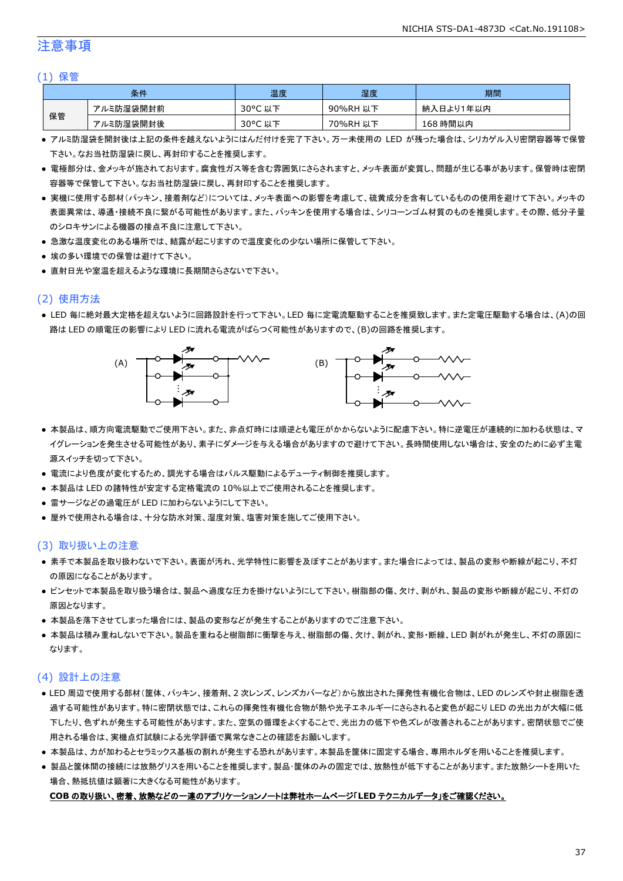#### 注意事項

#### (1) 保管

| 条件 |           | 温度      | 湿度       | 期間        |
|----|-----------|---------|----------|-----------|
| 保管 | アルミ防湿袋開封前 | 30°C 以下 | 90%RH 以下 | 納入日より1年以内 |
|    | アルミ防湿袋開封後 | 30°C 以下 | 70%RH 以下 | 168 時間以内  |

- アルミ防湿袋を開封後は上記の条件を越えないようにはんだ付けを完了下さい。万一未使用の LED が残った場合は、シリカゲル入り密閉容器等で保管 下さい。なお当社防湿袋に戻し、再封印することを推奨します。
- 電極部分は、金メッキが施されております。腐食性ガス等を含む雰囲気にさらされますと、メッキ表面が変質し、問題が生じる事があります。保管時は密閉 容器等で保管して下さい。なお当社防湿袋に戻し、再封印することを推奨します。
- 実機に使用する部材(パッキン、接着剤など)については、メッキ表面への影響を考慮して、硫黄成分を含有しているものの使用を避けて下さい。メッキの 表面異常は、導通・接続不良に繋がる可能性があります。また、パッキンを使用する場合は、シリコーンゴム材質のものを推奨します。その際、低分子量 のシロキサンによる機器の接点不良に注意して下さい。
- 急激な温度変化のある場所では、結露が起こりますので温度変化の少ない場所に保管して下さい。
- 埃の多い環境での保管は避けて下さい。
- 直射日光や室温を超えるような環境に長期間さらさないで下さい。

#### (2) 使用方法

● LED 毎に絶対最大定格を超えないように回路設計を行って下さい。LED 毎に定電流駆動することを推奨致します。また定電圧駆動する場合は、(A)の回 路は LED の順電圧の影響により LED に流れる電流がばらつく可能性がありますので、(B)の回路を推奨します。

![](_page_37_Figure_12.jpeg)

- 本製品は、順方向電流駆動でご使用下さい。また、非点灯時には順逆とも電圧がかからないように配慮下さい。特に逆電圧が連続的に加わる状態は、マ イグレーションを発生させる可能性があり、素子にダメージを与える場合がありますので避けて下さい。長時間使用しない場合は、安全のために必ず主電 源スイッチを切って下さい。
- 電流により色度が変化するため、調光する場合はパルス駆動によるデューティ制御を推奨します。
- 本製品は LED の諸特性が安定する定格電流の 10%以上でご使用されることを推奨します。
- 雷サージなどの過電圧が LED に加わらないようにして下さい。
- 屋外で使用される場合は、十分な防水対策、湿度対策、塩害対策を施してご使用下さい。

#### (3) 取り扱い上の注意

- 素手で本製品を取り扱わないで下さい。表面が汚れ、光学特性に影響を及ぼすことがあります。また場合によっては、製品の変形や断線が起こり、不灯 の原因になることがあります。
- ピンセットで本製品を取り扱う場合は、製品へ過度な圧力を掛けないようにして下さい。樹脂部の傷、欠け、剥がれ、製品の変形や断線が起こり、不灯の 原因となります。
- 本製品を落下させてしまった場合には、製品の変形などが発生することがありますのでご注意下さい。
- 本製品は積み重ねしないで下さい。製品を重ねると樹脂部に衝撃を与え、樹脂部の傷、欠け、剥がれ、変形・断線、LED 剥がれが発生し、不灯の原因に なります。

#### (4) 設計上の注意

- LED 周辺で使用する部材(筐体、パッキン、接着剤、2 次レンズ、レンズカバーなど)から放出された揮発性有機化合物は、LED のレンズや封止樹脂を透 過する可能性があります。特に密閉状態では、これらの揮発性有機化合物が熱や光子エネルギーにさらされると変色が起こり LED の光出力が大幅に低 下したり、色ずれが発生する可能性があります。また、空気の循環をよくすることで、光出力の低下や色ズレが改善されることがあります。密閉状態でご使 用される場合は、実機点灯試験による光学評価で異常なきことの確認をお願いします。
- 本製品は、力が加わるとセラミックス基板の割れが発生する恐れがあります。本製品を筐体に固定する場合、専用ホルダを用いることを推奨します。
- 製品と筐体間の接続には放熱グリスを用いることを推奨します。製品・筐体のみの固定では、放熱性が低下することがあります。また放熱シートを用いた 場合、熱抵抗値は顕著に大きくなる可能性があります。

#### **COB** の取り扱い、密着、放熱などの一連のアプリケーションノートは弊社ホームページ「**LED** テクニカルデータ」をご確認ください。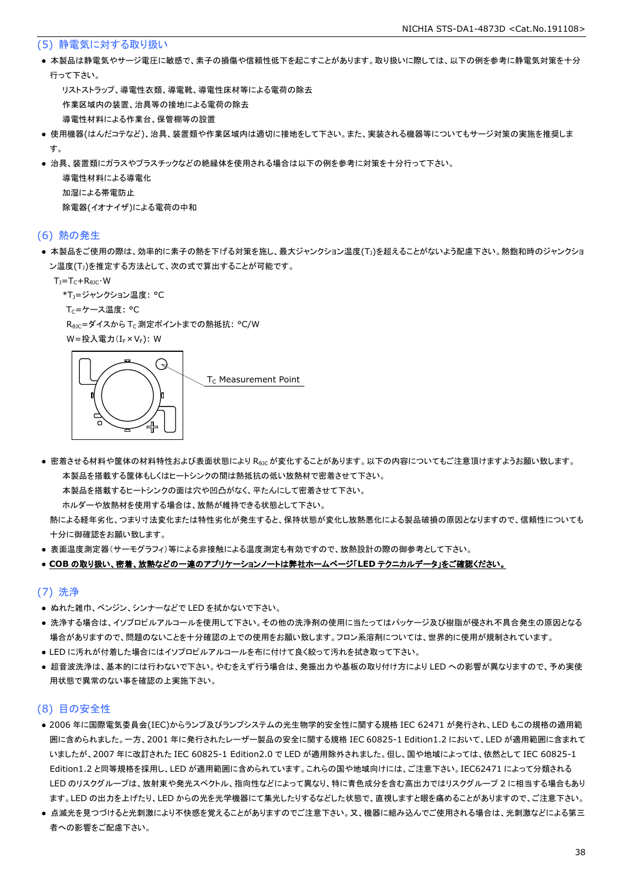#### (5) 静電気に対する取り扱い

● 本製品は静電気やサージ電圧に敏感で、素子の損傷や信頼性低下を起こすことがあります。取り扱いに際しては、以下の例を参考に静電気対策を十分 行って下さい。

 リストストラップ、導電性衣類、導電靴、導電性床材等による電荷の除去 作業区域内の装置、治具等の接地による電荷の除去 導電性材料による作業台、保管棚等の設置

- 使用機器(はんだコテなど)、治具、装置類や作業区域内は適切に接地をして下さい。また、実装される機器等についてもサージ対策の実施を推奨しま す。
- 治具、装置類にガラスやプラスチックなどの絶縁体を使用される場合は以下の例を参考に対策を十分行って下さい。

 導電性材料による導電化 加湿による帯電防止 除電器(イオナイザ)による電荷の中和

#### (6) 熱の発生

● 本製品をご使用の際は、効率的に素子の熱を下げる対策を施し、最大ジャンクション温度(T<sub>J</sub>)を超えることがないよう配慮下さい。熱飽和時のジャンクショ ン温度(T<sub>J</sub>)を推定する方法として、次の式で算出することが可能です。

 $T_J = T_C + R_{\theta JC} \cdot W$ 

\*T<sub>1</sub>=ジャンクション温度: °C

T<sub>C</sub>=ケース温度: °C

R<sub>0JC</sub>=ダイスから T<sub>C</sub> 測定ポイントまでの熱抵抗: °C/W

W=投入電力(I<sub>F</sub>×V<sub>F</sub>): W

![](_page_38_Figure_14.jpeg)

● 密着させる材料や筐体の材料特性および表面状態により R<sub>θIC</sub>が変化することがあります。以下の内容についてもご注意頂けますようお願い致します。 本製品を搭載する筐体もしくはヒートシンクの間は熱抵抗の低い放熱材で密着させて下さい。

本製品を搭載するヒートシンクの面は穴や凹凸がなく、平たんにして密着させて下さい。

ホルダーや放熱材を使用する場合は、放熱が維持できる状態として下さい。

 熱による経年劣化、つまり寸法変化または特性劣化が発生すると、保持状態が変化し放熱悪化による製品破損の原因となりますので、信頼性についても 十分に御確認をお願い致します。

● 表面温度測定器(サーモグラフィ)等による非接触による温度測定も有効ですので、放熱設計の際の御参考として下さい。

#### ● **COB** の取り扱い、密着、放熱などの一連のアプリケーションノートは弊社ホームページ「**LED** テクニカルデータ」をご確認ください。

#### (7) 洗浄

- ぬれた雑巾、ベンジン、シンナーなどで LED を拭かないで下さい。
- 洗浄する場合は、イソプロピルアルコールを使用して下さい。その他の洗浄剤の使用に当たってはパッケージ及び樹脂が侵され不具合発生の原因となる 場合がありますので、問題のないことを十分確認の上での使用をお願い致します。フロン系溶剤については、世界的に使用が規制されています。
- LED に汚れが付着した場合にはイソプロピルアルコールを布に付けて良く絞って汚れを拭き取って下さい。
- 超音波洗浄は、基本的には行わないで下さい。やむをえず行う場合は、発振出力や基板の取り付け方により LED への影響が異なりますので、予め実使 用状態で異常のない事を確認の上実施下さい。

#### (8) 目の安全性

- 2006 年に国際電気委員会(IEC)からランプ及びランプシステムの光生物学的安全性に関する規格 IEC 62471 が発行され、LED もこの規格の適用範 囲に含められました。一方、2001 年に発行されたレーザー製品の安全に関する規格 IEC 60825-1 Edition1.2 において、LED が適用範囲に含まれて いましたが、2007 年に改訂された IEC 60825-1 Edition2.0 で LED が適用除外されました。但し、国や地域によっては、依然として IEC 60825-1 Edition1.2 と同等規格を採用し、LED が適用範囲に含められています。これらの国や地域向けには、ご注意下さい。IEC62471 によって分類される LED のリスクグループは、放射束や発光スペクトル、指向性などによって異なり、特に青色成分を含む高出力ではリスクグループ 2 に相当する場合もあり ます。LED の出力を上げたり、LED からの光を光学機器にて集光したりするなどした状態で、直視しますと眼を痛めることがありますので、ご注意下さい。
- 点滅光を見つづけると光刺激により不快感を覚えることがありますのでご注意下さい。又、機器に組み込んでご使用される場合は、光刺激などによる第三 者への影響をご配慮下さい。